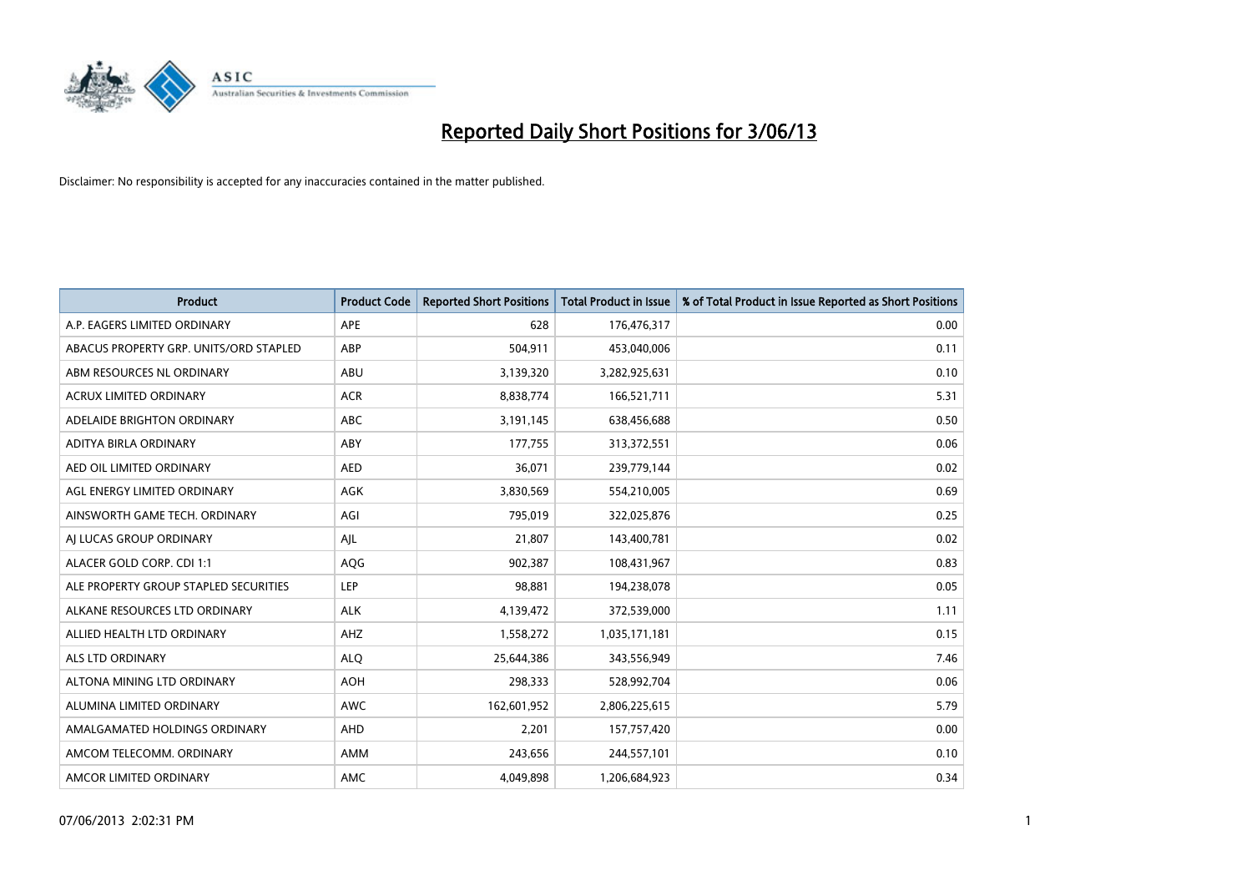

| <b>Product</b>                         | <b>Product Code</b> | <b>Reported Short Positions</b> | <b>Total Product in Issue</b> | % of Total Product in Issue Reported as Short Positions |
|----------------------------------------|---------------------|---------------------------------|-------------------------------|---------------------------------------------------------|
| A.P. EAGERS LIMITED ORDINARY           | APE                 | 628                             | 176,476,317                   | 0.00                                                    |
| ABACUS PROPERTY GRP. UNITS/ORD STAPLED | ABP                 | 504,911                         | 453,040,006                   | 0.11                                                    |
| ABM RESOURCES NL ORDINARY              | ABU                 | 3,139,320                       | 3,282,925,631                 | 0.10                                                    |
| ACRUX LIMITED ORDINARY                 | <b>ACR</b>          | 8,838,774                       | 166,521,711                   | 5.31                                                    |
| ADELAIDE BRIGHTON ORDINARY             | <b>ABC</b>          | 3,191,145                       | 638,456,688                   | 0.50                                                    |
| ADITYA BIRLA ORDINARY                  | ABY                 | 177,755                         | 313,372,551                   | 0.06                                                    |
| AED OIL LIMITED ORDINARY               | <b>AED</b>          | 36,071                          | 239,779,144                   | 0.02                                                    |
| AGL ENERGY LIMITED ORDINARY            | AGK                 | 3,830,569                       | 554,210,005                   | 0.69                                                    |
| AINSWORTH GAME TECH. ORDINARY          | AGI                 | 795,019                         | 322,025,876                   | 0.25                                                    |
| AI LUCAS GROUP ORDINARY                | AJL                 | 21,807                          | 143,400,781                   | 0.02                                                    |
| ALACER GOLD CORP. CDI 1:1              | AQG                 | 902,387                         | 108,431,967                   | 0.83                                                    |
| ALE PROPERTY GROUP STAPLED SECURITIES  | LEP                 | 98,881                          | 194,238,078                   | 0.05                                                    |
| ALKANE RESOURCES LTD ORDINARY          | <b>ALK</b>          | 4,139,472                       | 372,539,000                   | 1.11                                                    |
| ALLIED HEALTH LTD ORDINARY             | AHZ                 | 1,558,272                       | 1,035,171,181                 | 0.15                                                    |
| ALS LTD ORDINARY                       | <b>ALQ</b>          | 25,644,386                      | 343,556,949                   | 7.46                                                    |
| ALTONA MINING LTD ORDINARY             | <b>AOH</b>          | 298,333                         | 528,992,704                   | 0.06                                                    |
| ALUMINA LIMITED ORDINARY               | AWC                 | 162,601,952                     | 2,806,225,615                 | 5.79                                                    |
| AMALGAMATED HOLDINGS ORDINARY          | AHD                 | 2,201                           | 157,757,420                   | 0.00                                                    |
| AMCOM TELECOMM. ORDINARY               | AMM                 | 243,656                         | 244,557,101                   | 0.10                                                    |
| AMCOR LIMITED ORDINARY                 | AMC                 | 4,049,898                       | 1,206,684,923                 | 0.34                                                    |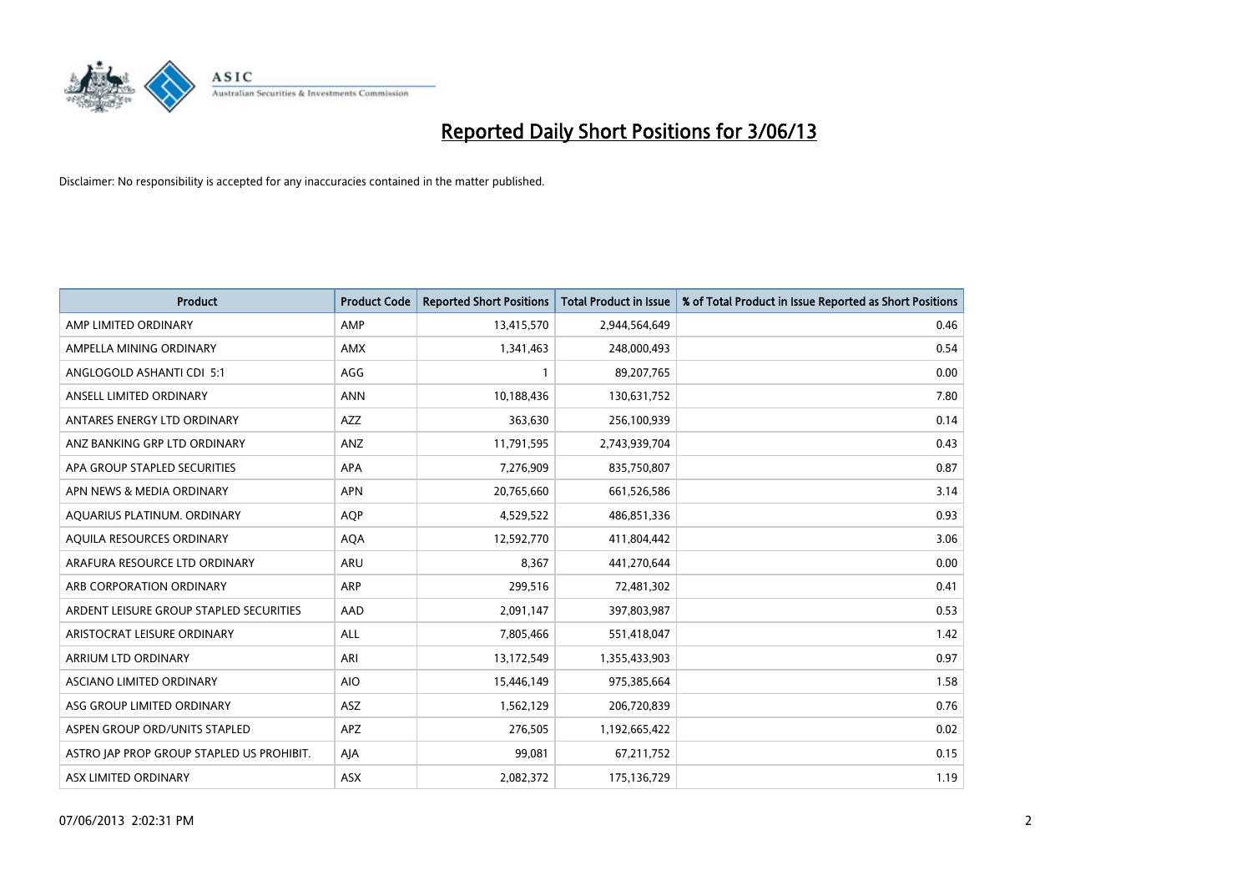

| <b>Product</b>                            | <b>Product Code</b> | <b>Reported Short Positions</b> | <b>Total Product in Issue</b> | % of Total Product in Issue Reported as Short Positions |
|-------------------------------------------|---------------------|---------------------------------|-------------------------------|---------------------------------------------------------|
| AMP LIMITED ORDINARY                      | AMP                 | 13,415,570                      | 2,944,564,649                 | 0.46                                                    |
| AMPELLA MINING ORDINARY                   | AMX                 | 1,341,463                       | 248,000,493                   | 0.54                                                    |
| ANGLOGOLD ASHANTI CDI 5:1                 | AGG                 | $\mathbf{1}$                    | 89,207,765                    | 0.00                                                    |
| ANSELL LIMITED ORDINARY                   | <b>ANN</b>          | 10,188,436                      | 130,631,752                   | 7.80                                                    |
| ANTARES ENERGY LTD ORDINARY               | AZZ                 | 363,630                         | 256,100,939                   | 0.14                                                    |
| ANZ BANKING GRP LTD ORDINARY              | ANZ                 | 11,791,595                      | 2,743,939,704                 | 0.43                                                    |
| APA GROUP STAPLED SECURITIES              | APA                 | 7,276,909                       | 835,750,807                   | 0.87                                                    |
| APN NEWS & MEDIA ORDINARY                 | <b>APN</b>          | 20,765,660                      | 661,526,586                   | 3.14                                                    |
| AQUARIUS PLATINUM. ORDINARY               | <b>AOP</b>          | 4,529,522                       | 486,851,336                   | 0.93                                                    |
| AQUILA RESOURCES ORDINARY                 | <b>AQA</b>          | 12,592,770                      | 411,804,442                   | 3.06                                                    |
| ARAFURA RESOURCE LTD ORDINARY             | ARU                 | 8,367                           | 441,270,644                   | 0.00                                                    |
| ARB CORPORATION ORDINARY                  | <b>ARP</b>          | 299,516                         | 72,481,302                    | 0.41                                                    |
| ARDENT LEISURE GROUP STAPLED SECURITIES   | AAD                 | 2,091,147                       | 397,803,987                   | 0.53                                                    |
| ARISTOCRAT LEISURE ORDINARY               | ALL                 | 7,805,466                       | 551,418,047                   | 1.42                                                    |
| ARRIUM LTD ORDINARY                       | ARI                 | 13,172,549                      | 1,355,433,903                 | 0.97                                                    |
| ASCIANO LIMITED ORDINARY                  | <b>AIO</b>          | 15,446,149                      | 975,385,664                   | 1.58                                                    |
| ASG GROUP LIMITED ORDINARY                | ASZ                 | 1,562,129                       | 206,720,839                   | 0.76                                                    |
| ASPEN GROUP ORD/UNITS STAPLED             | <b>APZ</b>          | 276,505                         | 1,192,665,422                 | 0.02                                                    |
| ASTRO JAP PROP GROUP STAPLED US PROHIBIT. | AJA                 | 99,081                          | 67,211,752                    | 0.15                                                    |
| ASX LIMITED ORDINARY                      | ASX                 | 2,082,372                       | 175,136,729                   | 1.19                                                    |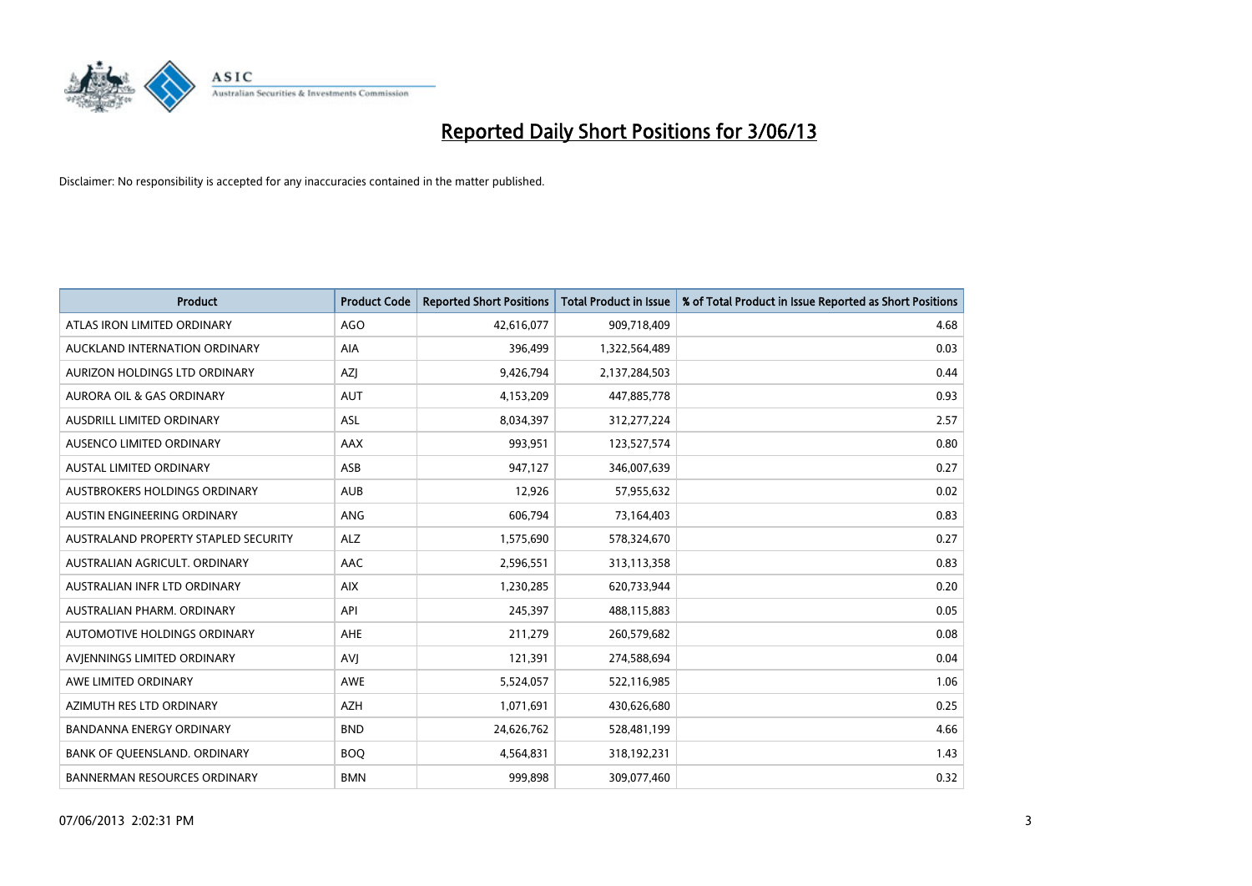

| <b>Product</b>                       | <b>Product Code</b> | <b>Reported Short Positions</b> | <b>Total Product in Issue</b> | % of Total Product in Issue Reported as Short Positions |
|--------------------------------------|---------------------|---------------------------------|-------------------------------|---------------------------------------------------------|
| ATLAS IRON LIMITED ORDINARY          | <b>AGO</b>          | 42,616,077                      | 909,718,409                   | 4.68                                                    |
| AUCKLAND INTERNATION ORDINARY        | AIA                 | 396,499                         | 1,322,564,489                 | 0.03                                                    |
| AURIZON HOLDINGS LTD ORDINARY        | AZJ                 | 9,426,794                       | 2,137,284,503                 | 0.44                                                    |
| AURORA OIL & GAS ORDINARY            | <b>AUT</b>          | 4,153,209                       | 447,885,778                   | 0.93                                                    |
| <b>AUSDRILL LIMITED ORDINARY</b>     | ASL                 | 8,034,397                       | 312,277,224                   | 2.57                                                    |
| AUSENCO LIMITED ORDINARY             | <b>AAX</b>          | 993,951                         | 123,527,574                   | 0.80                                                    |
| <b>AUSTAL LIMITED ORDINARY</b>       | ASB                 | 947,127                         | 346,007,639                   | 0.27                                                    |
| AUSTBROKERS HOLDINGS ORDINARY        | <b>AUB</b>          | 12,926                          | 57,955,632                    | 0.02                                                    |
| AUSTIN ENGINEERING ORDINARY          | <b>ANG</b>          | 606,794                         | 73,164,403                    | 0.83                                                    |
| AUSTRALAND PROPERTY STAPLED SECURITY | <b>ALZ</b>          | 1,575,690                       | 578,324,670                   | 0.27                                                    |
| AUSTRALIAN AGRICULT. ORDINARY        | AAC                 | 2,596,551                       | 313,113,358                   | 0.83                                                    |
| AUSTRALIAN INFR LTD ORDINARY         | <b>AIX</b>          | 1,230,285                       | 620,733,944                   | 0.20                                                    |
| AUSTRALIAN PHARM. ORDINARY           | API                 | 245,397                         | 488,115,883                   | 0.05                                                    |
| AUTOMOTIVE HOLDINGS ORDINARY         | AHE                 | 211,279                         | 260,579,682                   | 0.08                                                    |
| AVIENNINGS LIMITED ORDINARY          | <b>AVJ</b>          | 121,391                         | 274,588,694                   | 0.04                                                    |
| AWE LIMITED ORDINARY                 | AWE                 | 5,524,057                       | 522,116,985                   | 1.06                                                    |
| AZIMUTH RES LTD ORDINARY             | <b>AZH</b>          | 1,071,691                       | 430,626,680                   | 0.25                                                    |
| <b>BANDANNA ENERGY ORDINARY</b>      | <b>BND</b>          | 24,626,762                      | 528,481,199                   | 4.66                                                    |
| BANK OF QUEENSLAND. ORDINARY         | <b>BOQ</b>          | 4,564,831                       | 318,192,231                   | 1.43                                                    |
| BANNERMAN RESOURCES ORDINARY         | <b>BMN</b>          | 999,898                         | 309,077,460                   | 0.32                                                    |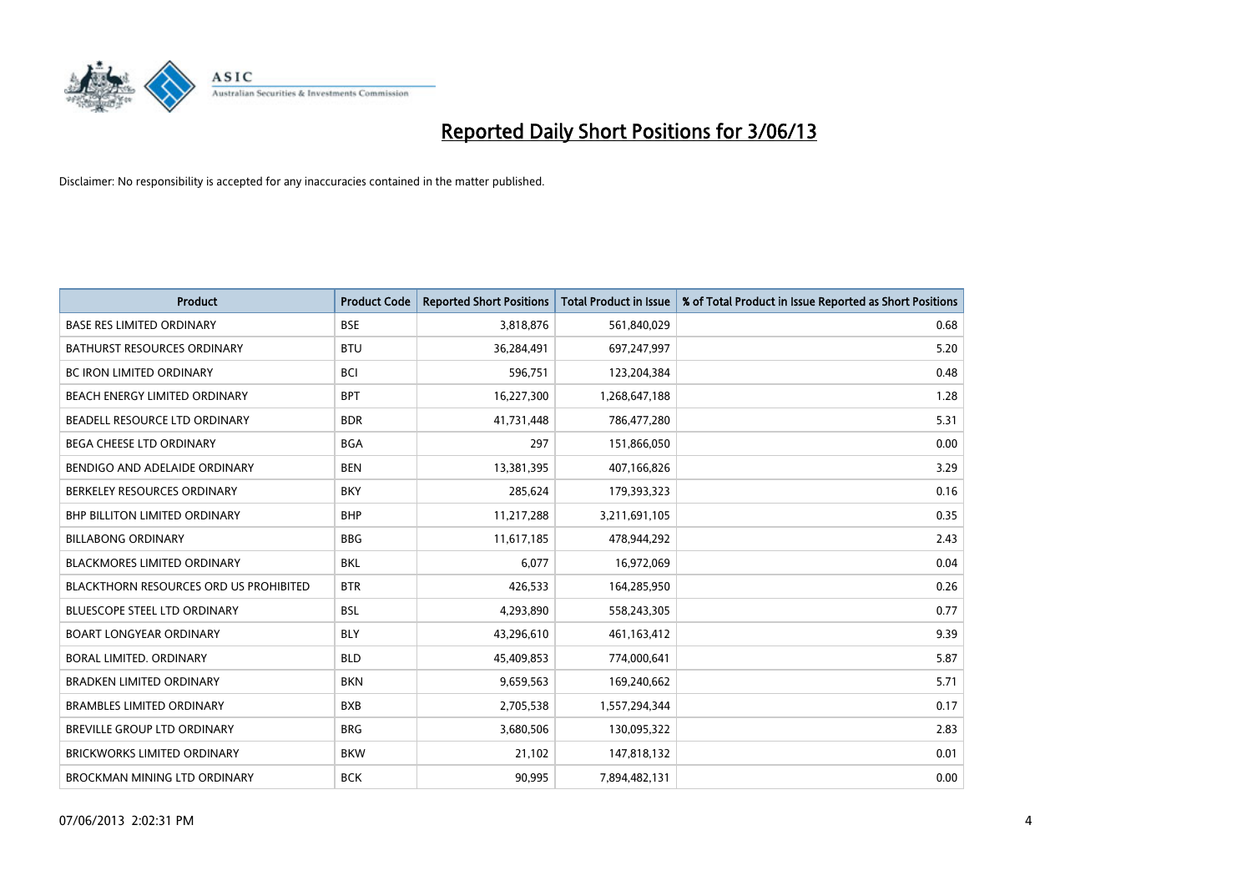

| <b>Product</b>                                | <b>Product Code</b> | <b>Reported Short Positions</b> | <b>Total Product in Issue</b> | % of Total Product in Issue Reported as Short Positions |
|-----------------------------------------------|---------------------|---------------------------------|-------------------------------|---------------------------------------------------------|
| <b>BASE RES LIMITED ORDINARY</b>              | <b>BSE</b>          | 3,818,876                       | 561,840,029                   | 0.68                                                    |
| <b>BATHURST RESOURCES ORDINARY</b>            | <b>BTU</b>          | 36,284,491                      | 697,247,997                   | 5.20                                                    |
| <b>BC IRON LIMITED ORDINARY</b>               | <b>BCI</b>          | 596,751                         | 123,204,384                   | 0.48                                                    |
| BEACH ENERGY LIMITED ORDINARY                 | <b>BPT</b>          | 16,227,300                      | 1,268,647,188                 | 1.28                                                    |
| BEADELL RESOURCE LTD ORDINARY                 | <b>BDR</b>          | 41,731,448                      | 786,477,280                   | 5.31                                                    |
| BEGA CHEESE LTD ORDINARY                      | <b>BGA</b>          | 297                             | 151,866,050                   | 0.00                                                    |
| BENDIGO AND ADELAIDE ORDINARY                 | <b>BEN</b>          | 13,381,395                      | 407,166,826                   | 3.29                                                    |
| BERKELEY RESOURCES ORDINARY                   | <b>BKY</b>          | 285,624                         | 179,393,323                   | 0.16                                                    |
| <b>BHP BILLITON LIMITED ORDINARY</b>          | <b>BHP</b>          | 11,217,288                      | 3,211,691,105                 | 0.35                                                    |
| <b>BILLABONG ORDINARY</b>                     | <b>BBG</b>          | 11,617,185                      | 478,944,292                   | 2.43                                                    |
| <b>BLACKMORES LIMITED ORDINARY</b>            | <b>BKL</b>          | 6,077                           | 16,972,069                    | 0.04                                                    |
| <b>BLACKTHORN RESOURCES ORD US PROHIBITED</b> | <b>BTR</b>          | 426,533                         | 164,285,950                   | 0.26                                                    |
| <b>BLUESCOPE STEEL LTD ORDINARY</b>           | <b>BSL</b>          | 4,293,890                       | 558,243,305                   | 0.77                                                    |
| <b>BOART LONGYEAR ORDINARY</b>                | <b>BLY</b>          | 43,296,610                      | 461,163,412                   | 9.39                                                    |
| BORAL LIMITED, ORDINARY                       | <b>BLD</b>          | 45,409,853                      | 774,000,641                   | 5.87                                                    |
| <b>BRADKEN LIMITED ORDINARY</b>               | <b>BKN</b>          | 9,659,563                       | 169,240,662                   | 5.71                                                    |
| <b>BRAMBLES LIMITED ORDINARY</b>              | <b>BXB</b>          | 2,705,538                       | 1,557,294,344                 | 0.17                                                    |
| BREVILLE GROUP LTD ORDINARY                   | <b>BRG</b>          | 3,680,506                       | 130,095,322                   | 2.83                                                    |
| <b>BRICKWORKS LIMITED ORDINARY</b>            | <b>BKW</b>          | 21,102                          | 147,818,132                   | 0.01                                                    |
| <b>BROCKMAN MINING LTD ORDINARY</b>           | <b>BCK</b>          | 90,995                          | 7,894,482,131                 | 0.00                                                    |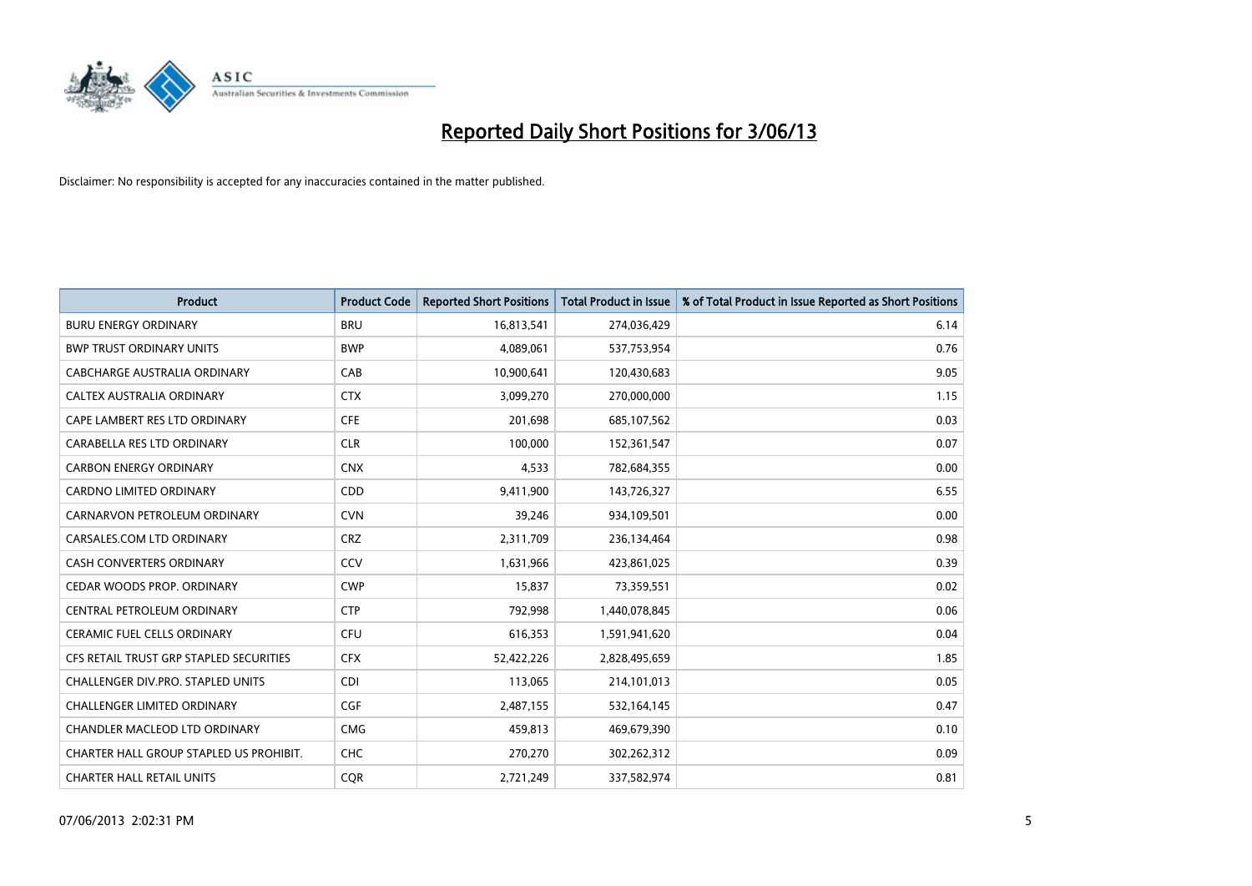

| <b>Product</b>                          | <b>Product Code</b> | <b>Reported Short Positions</b> | <b>Total Product in Issue</b> | % of Total Product in Issue Reported as Short Positions |
|-----------------------------------------|---------------------|---------------------------------|-------------------------------|---------------------------------------------------------|
| <b>BURU ENERGY ORDINARY</b>             | <b>BRU</b>          | 16,813,541                      | 274,036,429                   | 6.14                                                    |
| <b>BWP TRUST ORDINARY UNITS</b>         | <b>BWP</b>          | 4,089,061                       | 537,753,954                   | 0.76                                                    |
| CABCHARGE AUSTRALIA ORDINARY            | CAB                 | 10,900,641                      | 120,430,683                   | 9.05                                                    |
| CALTEX AUSTRALIA ORDINARY               | <b>CTX</b>          | 3,099,270                       | 270,000,000                   | 1.15                                                    |
| CAPE LAMBERT RES LTD ORDINARY           | <b>CFE</b>          | 201,698                         | 685,107,562                   | 0.03                                                    |
| CARABELLA RES LTD ORDINARY              | <b>CLR</b>          | 100,000                         | 152,361,547                   | 0.07                                                    |
| <b>CARBON ENERGY ORDINARY</b>           | <b>CNX</b>          | 4,533                           | 782,684,355                   | 0.00                                                    |
| CARDNO LIMITED ORDINARY                 | CDD                 | 9,411,900                       | 143,726,327                   | 6.55                                                    |
| CARNARVON PETROLEUM ORDINARY            | <b>CVN</b>          | 39,246                          | 934,109,501                   | 0.00                                                    |
| CARSALES.COM LTD ORDINARY               | <b>CRZ</b>          | 2,311,709                       | 236,134,464                   | 0.98                                                    |
| CASH CONVERTERS ORDINARY                | CCV                 | 1,631,966                       | 423,861,025                   | 0.39                                                    |
| CEDAR WOODS PROP. ORDINARY              | <b>CWP</b>          | 15,837                          | 73,359,551                    | 0.02                                                    |
| CENTRAL PETROLEUM ORDINARY              | <b>CTP</b>          | 792,998                         | 1,440,078,845                 | 0.06                                                    |
| <b>CERAMIC FUEL CELLS ORDINARY</b>      | <b>CFU</b>          | 616,353                         | 1,591,941,620                 | 0.04                                                    |
| CFS RETAIL TRUST GRP STAPLED SECURITIES | <b>CFX</b>          | 52,422,226                      | 2,828,495,659                 | 1.85                                                    |
| CHALLENGER DIV.PRO. STAPLED UNITS       | <b>CDI</b>          | 113,065                         | 214,101,013                   | 0.05                                                    |
| CHALLENGER LIMITED ORDINARY             | <b>CGF</b>          | 2,487,155                       | 532,164,145                   | 0.47                                                    |
| CHANDLER MACLEOD LTD ORDINARY           | <b>CMG</b>          | 459,813                         | 469,679,390                   | 0.10                                                    |
| CHARTER HALL GROUP STAPLED US PROHIBIT. | <b>CHC</b>          | 270,270                         | 302,262,312                   | 0.09                                                    |
| <b>CHARTER HALL RETAIL UNITS</b>        | <b>COR</b>          | 2,721,249                       | 337,582,974                   | 0.81                                                    |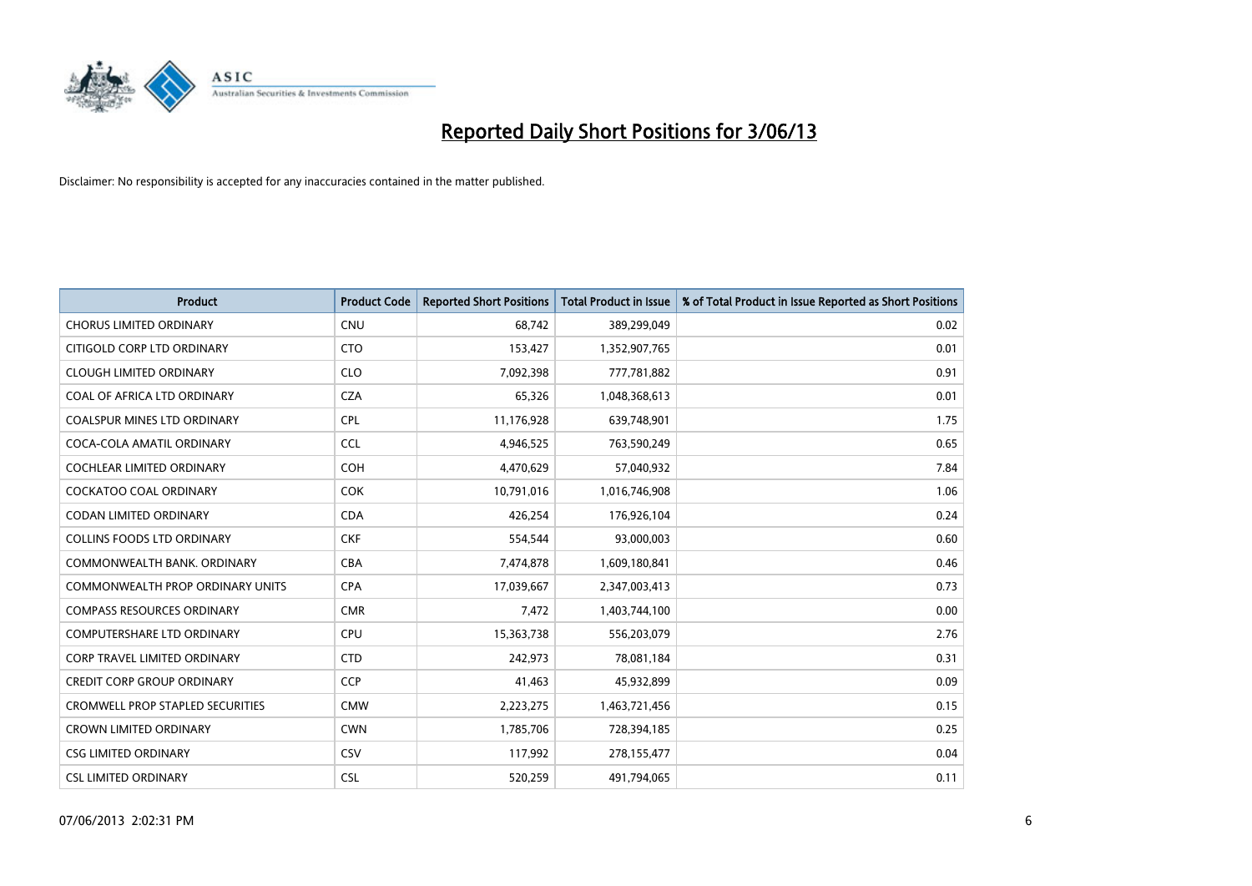

| <b>Product</b>                          | <b>Product Code</b> | <b>Reported Short Positions</b> | <b>Total Product in Issue</b> | % of Total Product in Issue Reported as Short Positions |
|-----------------------------------------|---------------------|---------------------------------|-------------------------------|---------------------------------------------------------|
| <b>CHORUS LIMITED ORDINARY</b>          | <b>CNU</b>          | 68,742                          | 389,299,049                   | 0.02                                                    |
| CITIGOLD CORP LTD ORDINARY              | <b>CTO</b>          | 153,427                         | 1,352,907,765                 | 0.01                                                    |
| <b>CLOUGH LIMITED ORDINARY</b>          | <b>CLO</b>          | 7,092,398                       | 777,781,882                   | 0.91                                                    |
| COAL OF AFRICA LTD ORDINARY             | <b>CZA</b>          | 65,326                          | 1,048,368,613                 | 0.01                                                    |
| <b>COALSPUR MINES LTD ORDINARY</b>      | <b>CPL</b>          | 11,176,928                      | 639,748,901                   | 1.75                                                    |
| COCA-COLA AMATIL ORDINARY               | <b>CCL</b>          | 4,946,525                       | 763,590,249                   | 0.65                                                    |
| <b>COCHLEAR LIMITED ORDINARY</b>        | <b>COH</b>          | 4,470,629                       | 57,040,932                    | 7.84                                                    |
| <b>COCKATOO COAL ORDINARY</b>           | <b>COK</b>          | 10,791,016                      | 1,016,746,908                 | 1.06                                                    |
| <b>CODAN LIMITED ORDINARY</b>           | <b>CDA</b>          | 426,254                         | 176,926,104                   | 0.24                                                    |
| <b>COLLINS FOODS LTD ORDINARY</b>       | <b>CKF</b>          | 554,544                         | 93,000,003                    | 0.60                                                    |
| COMMONWEALTH BANK, ORDINARY             | <b>CBA</b>          | 7,474,878                       | 1,609,180,841                 | 0.46                                                    |
| <b>COMMONWEALTH PROP ORDINARY UNITS</b> | <b>CPA</b>          | 17,039,667                      | 2,347,003,413                 | 0.73                                                    |
| <b>COMPASS RESOURCES ORDINARY</b>       | <b>CMR</b>          | 7,472                           | 1,403,744,100                 | 0.00                                                    |
| <b>COMPUTERSHARE LTD ORDINARY</b>       | <b>CPU</b>          | 15,363,738                      | 556,203,079                   | 2.76                                                    |
| <b>CORP TRAVEL LIMITED ORDINARY</b>     | <b>CTD</b>          | 242,973                         | 78,081,184                    | 0.31                                                    |
| <b>CREDIT CORP GROUP ORDINARY</b>       | <b>CCP</b>          | 41,463                          | 45,932,899                    | 0.09                                                    |
| CROMWELL PROP STAPLED SECURITIES        | <b>CMW</b>          | 2,223,275                       | 1,463,721,456                 | 0.15                                                    |
| <b>CROWN LIMITED ORDINARY</b>           | <b>CWN</b>          | 1,785,706                       | 728,394,185                   | 0.25                                                    |
| <b>CSG LIMITED ORDINARY</b>             | <b>CSV</b>          | 117,992                         | 278,155,477                   | 0.04                                                    |
| <b>CSL LIMITED ORDINARY</b>             | <b>CSL</b>          | 520,259                         | 491,794,065                   | 0.11                                                    |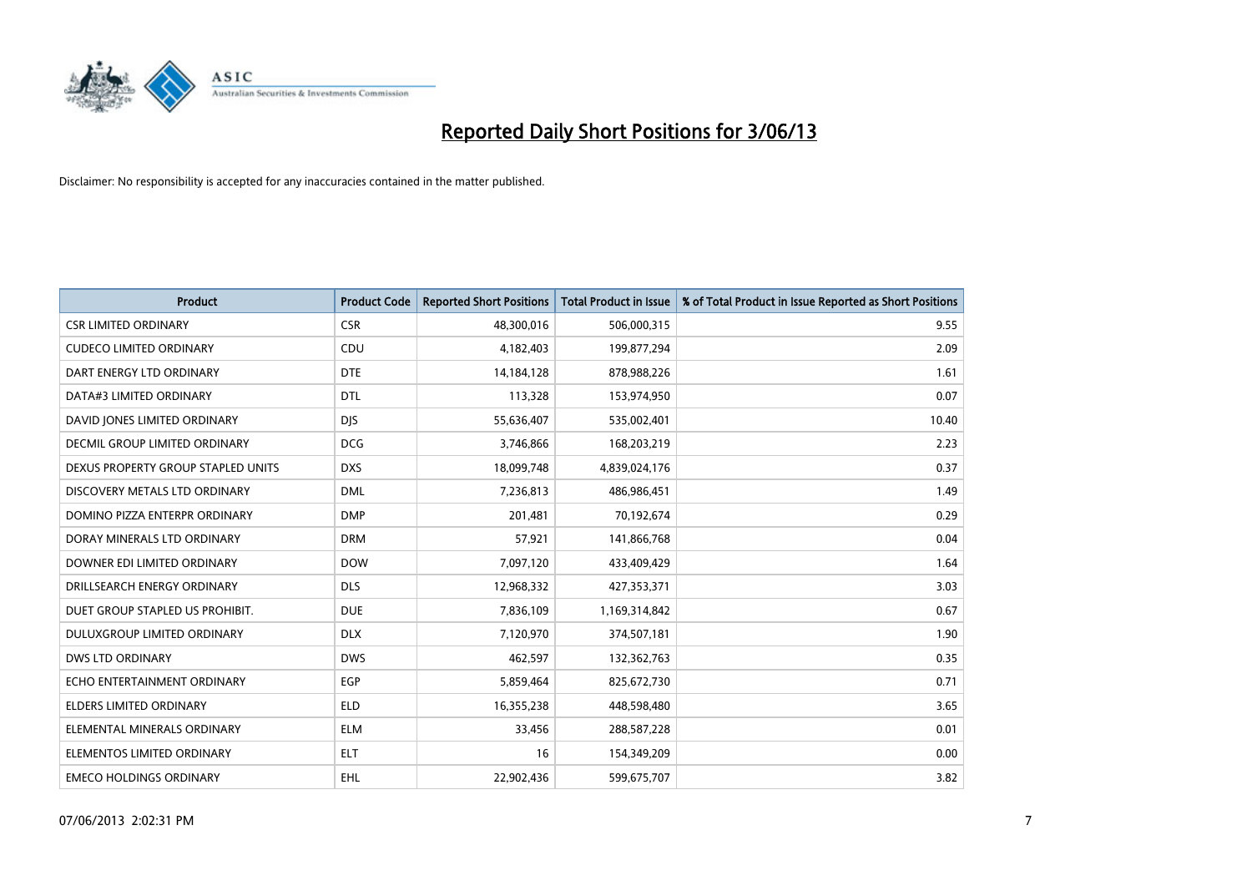

| <b>Product</b>                     | <b>Product Code</b> | <b>Reported Short Positions</b> | <b>Total Product in Issue</b> | % of Total Product in Issue Reported as Short Positions |
|------------------------------------|---------------------|---------------------------------|-------------------------------|---------------------------------------------------------|
| <b>CSR LIMITED ORDINARY</b>        | <b>CSR</b>          | 48,300,016                      | 506,000,315                   | 9.55                                                    |
| <b>CUDECO LIMITED ORDINARY</b>     | CDU                 | 4,182,403                       | 199,877,294                   | 2.09                                                    |
| DART ENERGY LTD ORDINARY           | <b>DTE</b>          | 14,184,128                      | 878,988,226                   | 1.61                                                    |
| DATA#3 LIMITED ORDINARY            | <b>DTL</b>          | 113,328                         | 153,974,950                   | 0.07                                                    |
| DAVID JONES LIMITED ORDINARY       | <b>DIS</b>          | 55,636,407                      | 535,002,401                   | 10.40                                                   |
| DECMIL GROUP LIMITED ORDINARY      | <b>DCG</b>          | 3,746,866                       | 168,203,219                   | 2.23                                                    |
| DEXUS PROPERTY GROUP STAPLED UNITS | <b>DXS</b>          | 18,099,748                      | 4,839,024,176                 | 0.37                                                    |
| DISCOVERY METALS LTD ORDINARY      | <b>DML</b>          | 7,236,813                       | 486,986,451                   | 1.49                                                    |
| DOMINO PIZZA ENTERPR ORDINARY      | <b>DMP</b>          | 201,481                         | 70,192,674                    | 0.29                                                    |
| DORAY MINERALS LTD ORDINARY        | <b>DRM</b>          | 57,921                          | 141,866,768                   | 0.04                                                    |
| DOWNER EDI LIMITED ORDINARY        | <b>DOW</b>          | 7,097,120                       | 433,409,429                   | 1.64                                                    |
| DRILLSEARCH ENERGY ORDINARY        | <b>DLS</b>          | 12,968,332                      | 427,353,371                   | 3.03                                                    |
| DUET GROUP STAPLED US PROHIBIT.    | <b>DUE</b>          | 7,836,109                       | 1,169,314,842                 | 0.67                                                    |
| DULUXGROUP LIMITED ORDINARY        | <b>DLX</b>          | 7,120,970                       | 374,507,181                   | 1.90                                                    |
| <b>DWS LTD ORDINARY</b>            | <b>DWS</b>          | 462,597                         | 132,362,763                   | 0.35                                                    |
| ECHO ENTERTAINMENT ORDINARY        | <b>EGP</b>          | 5,859,464                       | 825,672,730                   | 0.71                                                    |
| ELDERS LIMITED ORDINARY            | <b>ELD</b>          | 16,355,238                      | 448,598,480                   | 3.65                                                    |
| ELEMENTAL MINERALS ORDINARY        | <b>ELM</b>          | 33,456                          | 288,587,228                   | 0.01                                                    |
| ELEMENTOS LIMITED ORDINARY         | <b>ELT</b>          | 16                              | 154,349,209                   | 0.00                                                    |
| <b>EMECO HOLDINGS ORDINARY</b>     | EHL                 | 22,902,436                      | 599,675,707                   | 3.82                                                    |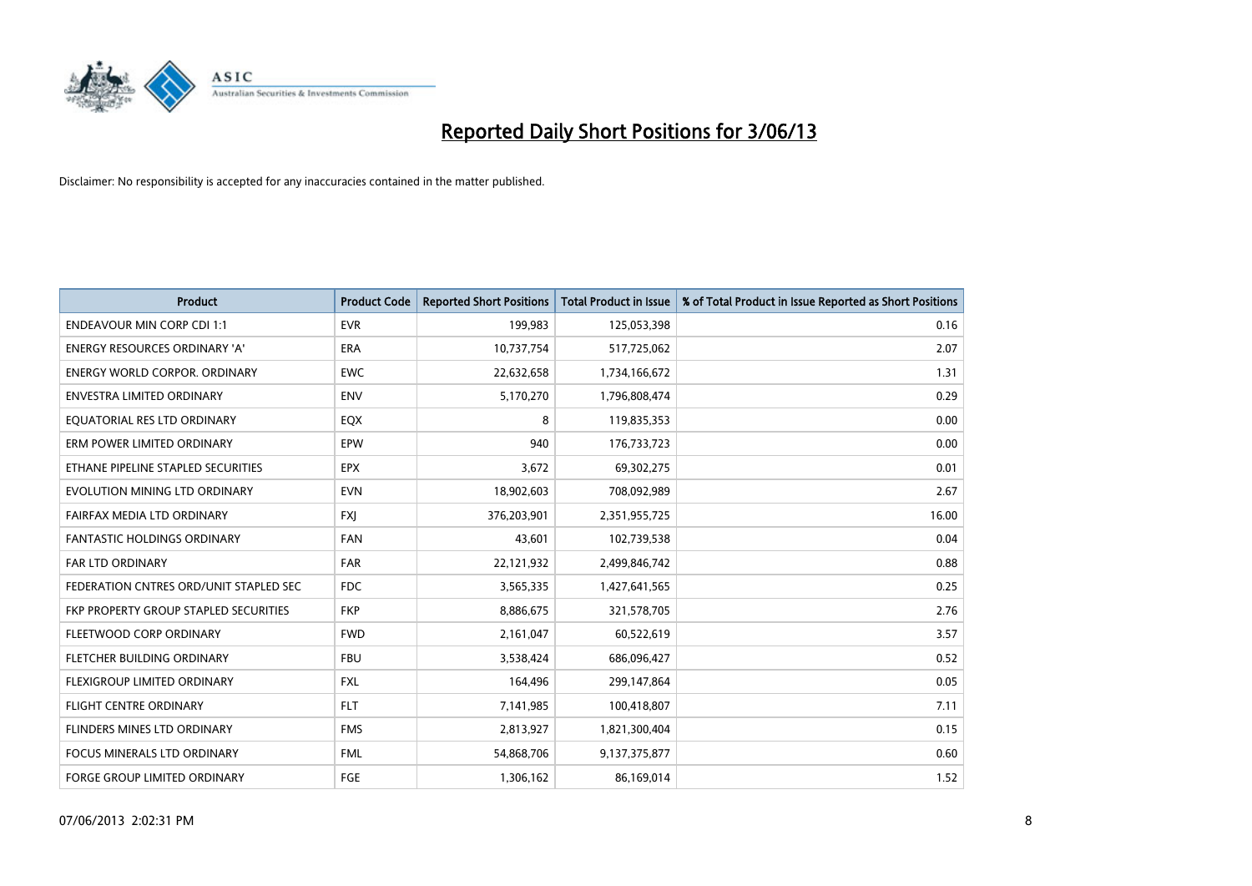

| <b>Product</b>                         | <b>Product Code</b> | <b>Reported Short Positions</b> | <b>Total Product in Issue</b> | % of Total Product in Issue Reported as Short Positions |
|----------------------------------------|---------------------|---------------------------------|-------------------------------|---------------------------------------------------------|
| <b>ENDEAVOUR MIN CORP CDI 1:1</b>      | <b>EVR</b>          | 199,983                         | 125,053,398                   | 0.16                                                    |
| ENERGY RESOURCES ORDINARY 'A'          | ERA                 | 10,737,754                      | 517,725,062                   | 2.07                                                    |
| <b>ENERGY WORLD CORPOR, ORDINARY</b>   | <b>EWC</b>          | 22,632,658                      | 1,734,166,672                 | 1.31                                                    |
| ENVESTRA LIMITED ORDINARY              | <b>ENV</b>          | 5,170,270                       | 1,796,808,474                 | 0.29                                                    |
| EQUATORIAL RES LTD ORDINARY            | EQX                 | 8                               | 119,835,353                   | 0.00                                                    |
| ERM POWER LIMITED ORDINARY             | EPW                 | 940                             | 176,733,723                   | 0.00                                                    |
| ETHANE PIPELINE STAPLED SECURITIES     | <b>EPX</b>          | 3,672                           | 69,302,275                    | 0.01                                                    |
| EVOLUTION MINING LTD ORDINARY          | <b>EVN</b>          | 18,902,603                      | 708,092,989                   | 2.67                                                    |
| FAIRFAX MEDIA LTD ORDINARY             | <b>FXI</b>          | 376,203,901                     | 2,351,955,725                 | 16.00                                                   |
| <b>FANTASTIC HOLDINGS ORDINARY</b>     | <b>FAN</b>          | 43,601                          | 102,739,538                   | 0.04                                                    |
| <b>FAR LTD ORDINARY</b>                | FAR                 | 22,121,932                      | 2,499,846,742                 | 0.88                                                    |
| FEDERATION CNTRES ORD/UNIT STAPLED SEC | FDC                 | 3,565,335                       | 1,427,641,565                 | 0.25                                                    |
| FKP PROPERTY GROUP STAPLED SECURITIES  | <b>FKP</b>          | 8,886,675                       | 321,578,705                   | 2.76                                                    |
| FLEETWOOD CORP ORDINARY                | <b>FWD</b>          | 2,161,047                       | 60,522,619                    | 3.57                                                    |
| FLETCHER BUILDING ORDINARY             | <b>FBU</b>          | 3,538,424                       | 686,096,427                   | 0.52                                                    |
| FLEXIGROUP LIMITED ORDINARY            | <b>FXL</b>          | 164,496                         | 299,147,864                   | 0.05                                                    |
| FLIGHT CENTRE ORDINARY                 | <b>FLT</b>          | 7,141,985                       | 100,418,807                   | 7.11                                                    |
| FLINDERS MINES LTD ORDINARY            | <b>FMS</b>          | 2,813,927                       | 1,821,300,404                 | 0.15                                                    |
| <b>FOCUS MINERALS LTD ORDINARY</b>     | <b>FML</b>          | 54,868,706                      | 9,137,375,877                 | 0.60                                                    |
| FORGE GROUP LIMITED ORDINARY           | FGE                 | 1,306,162                       | 86,169,014                    | 1.52                                                    |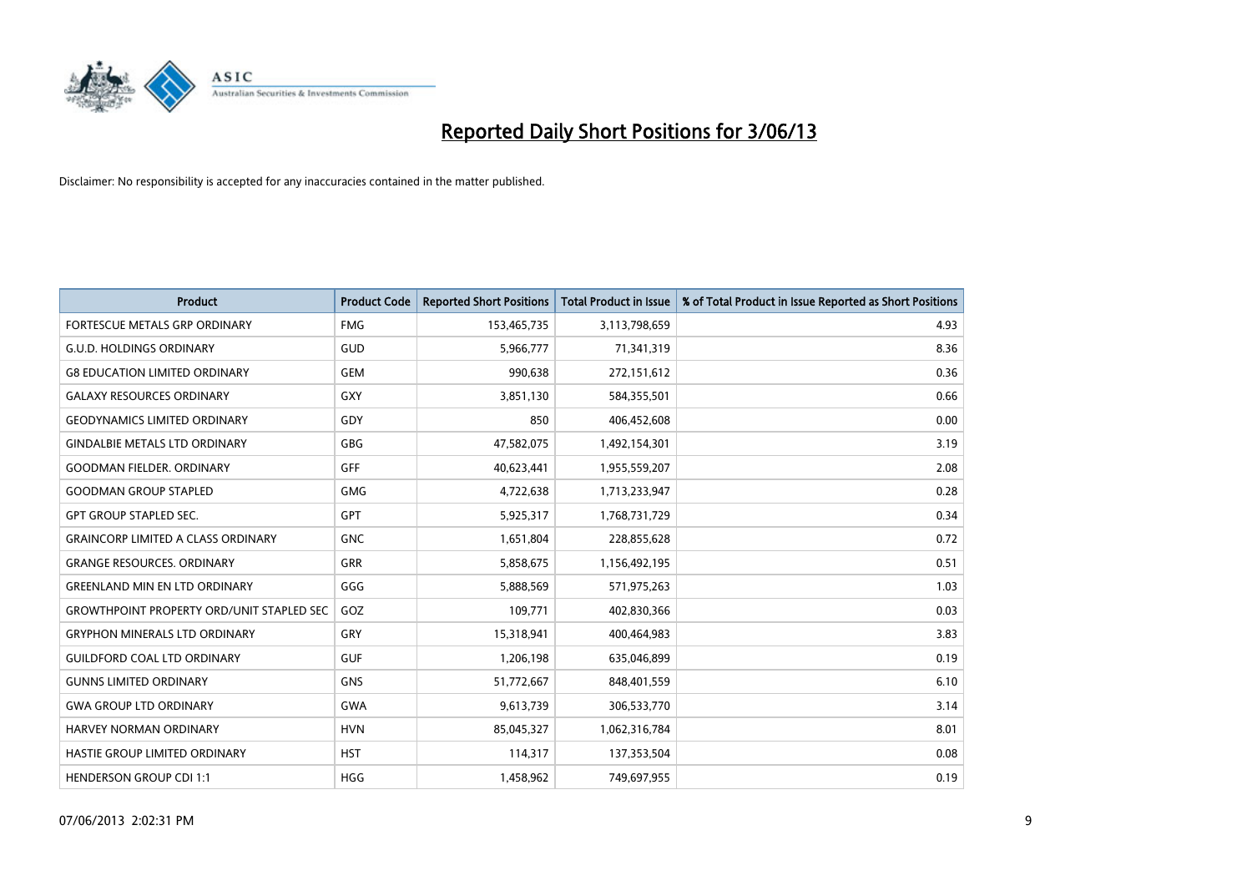

| <b>Product</b>                                   | <b>Product Code</b> | <b>Reported Short Positions</b> | <b>Total Product in Issue</b> | % of Total Product in Issue Reported as Short Positions |
|--------------------------------------------------|---------------------|---------------------------------|-------------------------------|---------------------------------------------------------|
| <b>FORTESCUE METALS GRP ORDINARY</b>             | <b>FMG</b>          | 153,465,735                     | 3,113,798,659                 | 4.93                                                    |
| <b>G.U.D. HOLDINGS ORDINARY</b>                  | GUD                 | 5,966,777                       | 71,341,319                    | 8.36                                                    |
| <b>G8 EDUCATION LIMITED ORDINARY</b>             | <b>GEM</b>          | 990,638                         | 272,151,612                   | 0.36                                                    |
| <b>GALAXY RESOURCES ORDINARY</b>                 | GXY                 | 3,851,130                       | 584,355,501                   | 0.66                                                    |
| <b>GEODYNAMICS LIMITED ORDINARY</b>              | GDY                 | 850                             | 406,452,608                   | 0.00                                                    |
| <b>GINDALBIE METALS LTD ORDINARY</b>             | GBG                 | 47,582,075                      | 1,492,154,301                 | 3.19                                                    |
| <b>GOODMAN FIELDER, ORDINARY</b>                 | <b>GFF</b>          | 40,623,441                      | 1,955,559,207                 | 2.08                                                    |
| <b>GOODMAN GROUP STAPLED</b>                     | GMG                 | 4,722,638                       | 1,713,233,947                 | 0.28                                                    |
| <b>GPT GROUP STAPLED SEC.</b>                    | <b>GPT</b>          | 5,925,317                       | 1,768,731,729                 | 0.34                                                    |
| <b>GRAINCORP LIMITED A CLASS ORDINARY</b>        | <b>GNC</b>          | 1,651,804                       | 228,855,628                   | 0.72                                                    |
| <b>GRANGE RESOURCES. ORDINARY</b>                | GRR                 | 5,858,675                       | 1,156,492,195                 | 0.51                                                    |
| <b>GREENLAND MIN EN LTD ORDINARY</b>             | GGG                 | 5,888,569                       | 571,975,263                   | 1.03                                                    |
| <b>GROWTHPOINT PROPERTY ORD/UNIT STAPLED SEC</b> | GOZ                 | 109,771                         | 402,830,366                   | 0.03                                                    |
| <b>GRYPHON MINERALS LTD ORDINARY</b>             | GRY                 | 15,318,941                      | 400,464,983                   | 3.83                                                    |
| <b>GUILDFORD COAL LTD ORDINARY</b>               | <b>GUF</b>          | 1,206,198                       | 635,046,899                   | 0.19                                                    |
| <b>GUNNS LIMITED ORDINARY</b>                    | <b>GNS</b>          | 51,772,667                      | 848,401,559                   | 6.10                                                    |
| <b>GWA GROUP LTD ORDINARY</b>                    | <b>GWA</b>          | 9,613,739                       | 306,533,770                   | 3.14                                                    |
| <b>HARVEY NORMAN ORDINARY</b>                    | <b>HVN</b>          | 85,045,327                      | 1,062,316,784                 | 8.01                                                    |
| HASTIE GROUP LIMITED ORDINARY                    | <b>HST</b>          | 114,317                         | 137,353,504                   | 0.08                                                    |
| <b>HENDERSON GROUP CDI 1:1</b>                   | <b>HGG</b>          | 1,458,962                       | 749,697,955                   | 0.19                                                    |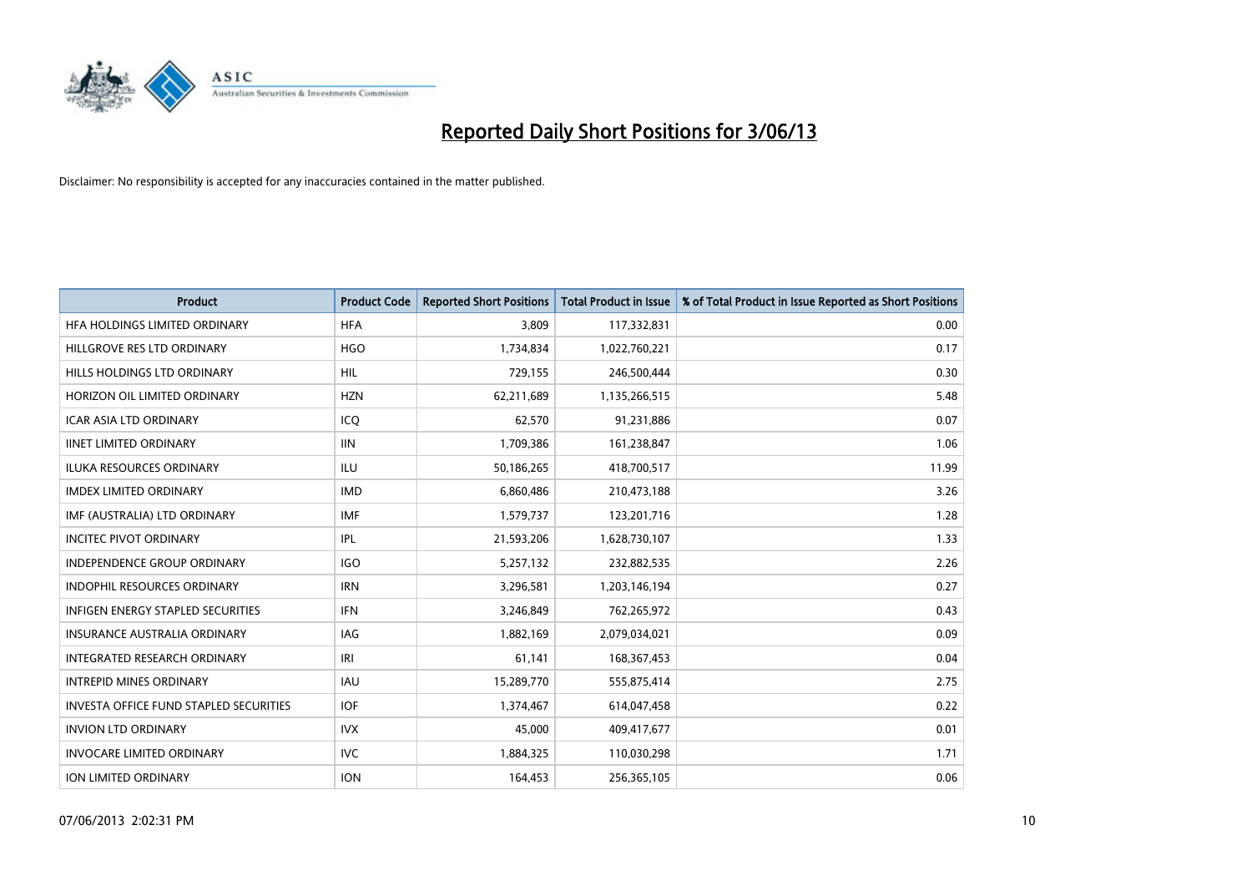

| <b>Product</b>                         | <b>Product Code</b> | <b>Reported Short Positions</b> | <b>Total Product in Issue</b> | % of Total Product in Issue Reported as Short Positions |
|----------------------------------------|---------------------|---------------------------------|-------------------------------|---------------------------------------------------------|
| HFA HOLDINGS LIMITED ORDINARY          | <b>HFA</b>          | 3,809                           | 117,332,831                   | 0.00                                                    |
| HILLGROVE RES LTD ORDINARY             | <b>HGO</b>          | 1,734,834                       | 1,022,760,221                 | 0.17                                                    |
| HILLS HOLDINGS LTD ORDINARY            | <b>HIL</b>          | 729,155                         | 246,500,444                   | 0.30                                                    |
| HORIZON OIL LIMITED ORDINARY           | <b>HZN</b>          | 62,211,689                      | 1,135,266,515                 | 5.48                                                    |
| <b>ICAR ASIA LTD ORDINARY</b>          | ICO                 | 62,570                          | 91,231,886                    | 0.07                                                    |
| <b>IINET LIMITED ORDINARY</b>          | <b>IIN</b>          | 1,709,386                       | 161,238,847                   | 1.06                                                    |
| <b>ILUKA RESOURCES ORDINARY</b>        | <b>ILU</b>          | 50,186,265                      | 418,700,517                   | 11.99                                                   |
| <b>IMDEX LIMITED ORDINARY</b>          | <b>IMD</b>          | 6,860,486                       | 210,473,188                   | 3.26                                                    |
| IMF (AUSTRALIA) LTD ORDINARY           | <b>IMF</b>          | 1,579,737                       | 123,201,716                   | 1.28                                                    |
| <b>INCITEC PIVOT ORDINARY</b>          | IPL                 | 21,593,206                      | 1,628,730,107                 | 1.33                                                    |
| INDEPENDENCE GROUP ORDINARY            | <b>IGO</b>          | 5,257,132                       | 232,882,535                   | 2.26                                                    |
| <b>INDOPHIL RESOURCES ORDINARY</b>     | <b>IRN</b>          | 3,296,581                       | 1,203,146,194                 | 0.27                                                    |
| INFIGEN ENERGY STAPLED SECURITIES      | <b>IFN</b>          | 3,246,849                       | 762,265,972                   | 0.43                                                    |
| <b>INSURANCE AUSTRALIA ORDINARY</b>    | IAG                 | 1,882,169                       | 2,079,034,021                 | 0.09                                                    |
| INTEGRATED RESEARCH ORDINARY           | IRI                 | 61,141                          | 168, 367, 453                 | 0.04                                                    |
| <b>INTREPID MINES ORDINARY</b>         | <b>IAU</b>          | 15,289,770                      | 555,875,414                   | 2.75                                                    |
| INVESTA OFFICE FUND STAPLED SECURITIES | IOF                 | 1,374,467                       | 614,047,458                   | 0.22                                                    |
| <b>INVION LTD ORDINARY</b>             | <b>IVX</b>          | 45,000                          | 409,417,677                   | 0.01                                                    |
| <b>INVOCARE LIMITED ORDINARY</b>       | <b>IVC</b>          | 1,884,325                       | 110,030,298                   | 1.71                                                    |
| ION LIMITED ORDINARY                   | <b>ION</b>          | 164,453                         | 256,365,105                   | 0.06                                                    |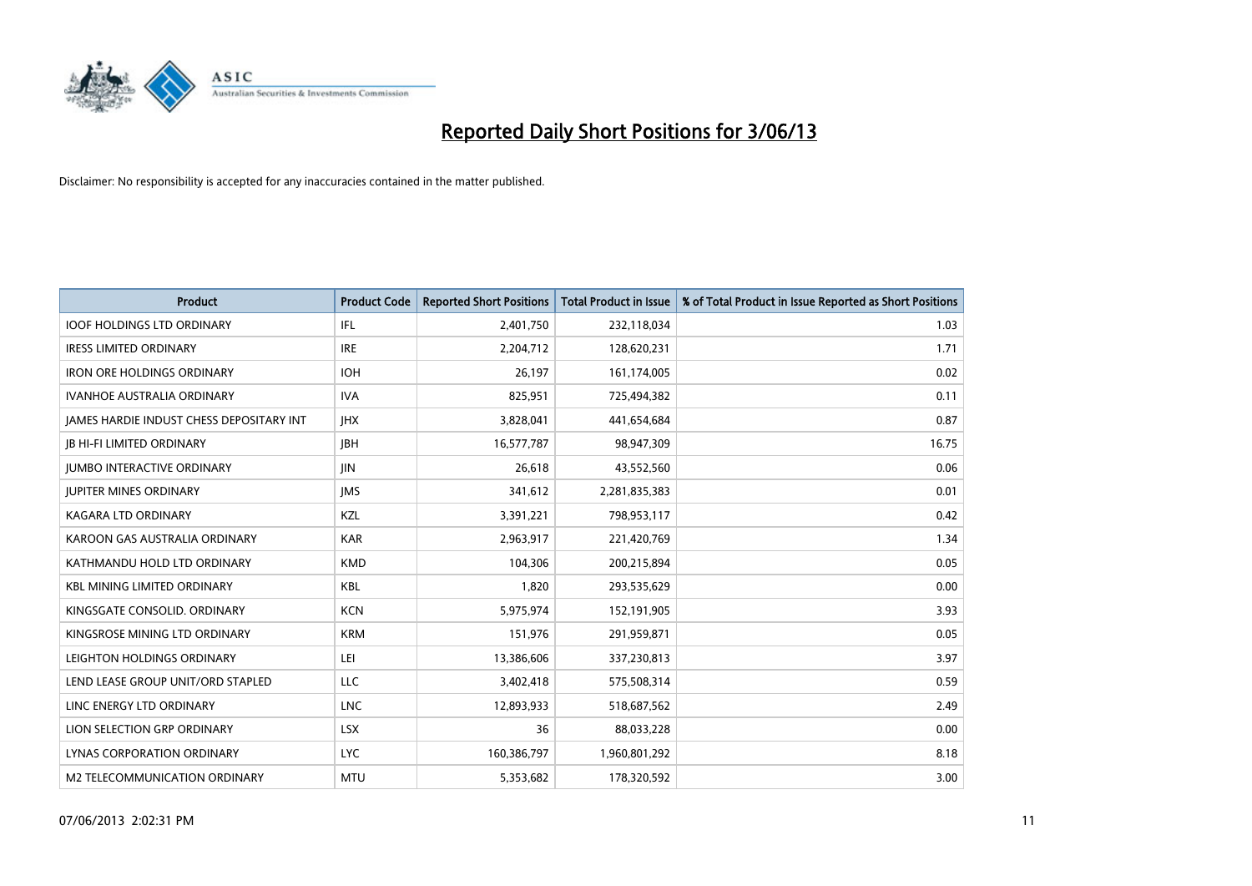

| <b>Product</b>                           | <b>Product Code</b> | <b>Reported Short Positions</b> | <b>Total Product in Issue</b> | % of Total Product in Issue Reported as Short Positions |
|------------------------------------------|---------------------|---------------------------------|-------------------------------|---------------------------------------------------------|
| <b>IOOF HOLDINGS LTD ORDINARY</b>        | IFL                 | 2,401,750                       | 232,118,034                   | 1.03                                                    |
| <b>IRESS LIMITED ORDINARY</b>            | <b>IRE</b>          | 2,204,712                       | 128,620,231                   | 1.71                                                    |
| <b>IRON ORE HOLDINGS ORDINARY</b>        | <b>IOH</b>          | 26.197                          | 161,174,005                   | 0.02                                                    |
| <b>IVANHOE AUSTRALIA ORDINARY</b>        | <b>IVA</b>          | 825,951                         | 725,494,382                   | 0.11                                                    |
| JAMES HARDIE INDUST CHESS DEPOSITARY INT | <b>IHX</b>          | 3,828,041                       | 441,654,684                   | 0.87                                                    |
| <b>JB HI-FI LIMITED ORDINARY</b>         | <b>IBH</b>          | 16,577,787                      | 98,947,309                    | 16.75                                                   |
| <b>JUMBO INTERACTIVE ORDINARY</b>        | <b>JIN</b>          | 26,618                          | 43,552,560                    | 0.06                                                    |
| <b>JUPITER MINES ORDINARY</b>            | <b>IMS</b>          | 341,612                         | 2,281,835,383                 | 0.01                                                    |
| <b>KAGARA LTD ORDINARY</b>               | KZL                 | 3,391,221                       | 798,953,117                   | 0.42                                                    |
| KAROON GAS AUSTRALIA ORDINARY            | <b>KAR</b>          | 2,963,917                       | 221,420,769                   | 1.34                                                    |
| KATHMANDU HOLD LTD ORDINARY              | <b>KMD</b>          | 104,306                         | 200,215,894                   | 0.05                                                    |
| <b>KBL MINING LIMITED ORDINARY</b>       | <b>KBL</b>          | 1,820                           | 293,535,629                   | 0.00                                                    |
| KINGSGATE CONSOLID. ORDINARY             | <b>KCN</b>          | 5,975,974                       | 152,191,905                   | 3.93                                                    |
| KINGSROSE MINING LTD ORDINARY            | <b>KRM</b>          | 151,976                         | 291,959,871                   | 0.05                                                    |
| LEIGHTON HOLDINGS ORDINARY               | LEI                 | 13,386,606                      | 337,230,813                   | 3.97                                                    |
| LEND LEASE GROUP UNIT/ORD STAPLED        | LLC                 | 3,402,418                       | 575,508,314                   | 0.59                                                    |
| LINC ENERGY LTD ORDINARY                 | <b>LNC</b>          | 12,893,933                      | 518,687,562                   | 2.49                                                    |
| LION SELECTION GRP ORDINARY              | <b>LSX</b>          | 36                              | 88,033,228                    | 0.00                                                    |
| LYNAS CORPORATION ORDINARY               | <b>LYC</b>          | 160,386,797                     | 1,960,801,292                 | 8.18                                                    |
| M2 TELECOMMUNICATION ORDINARY            | <b>MTU</b>          | 5,353,682                       | 178,320,592                   | 3.00                                                    |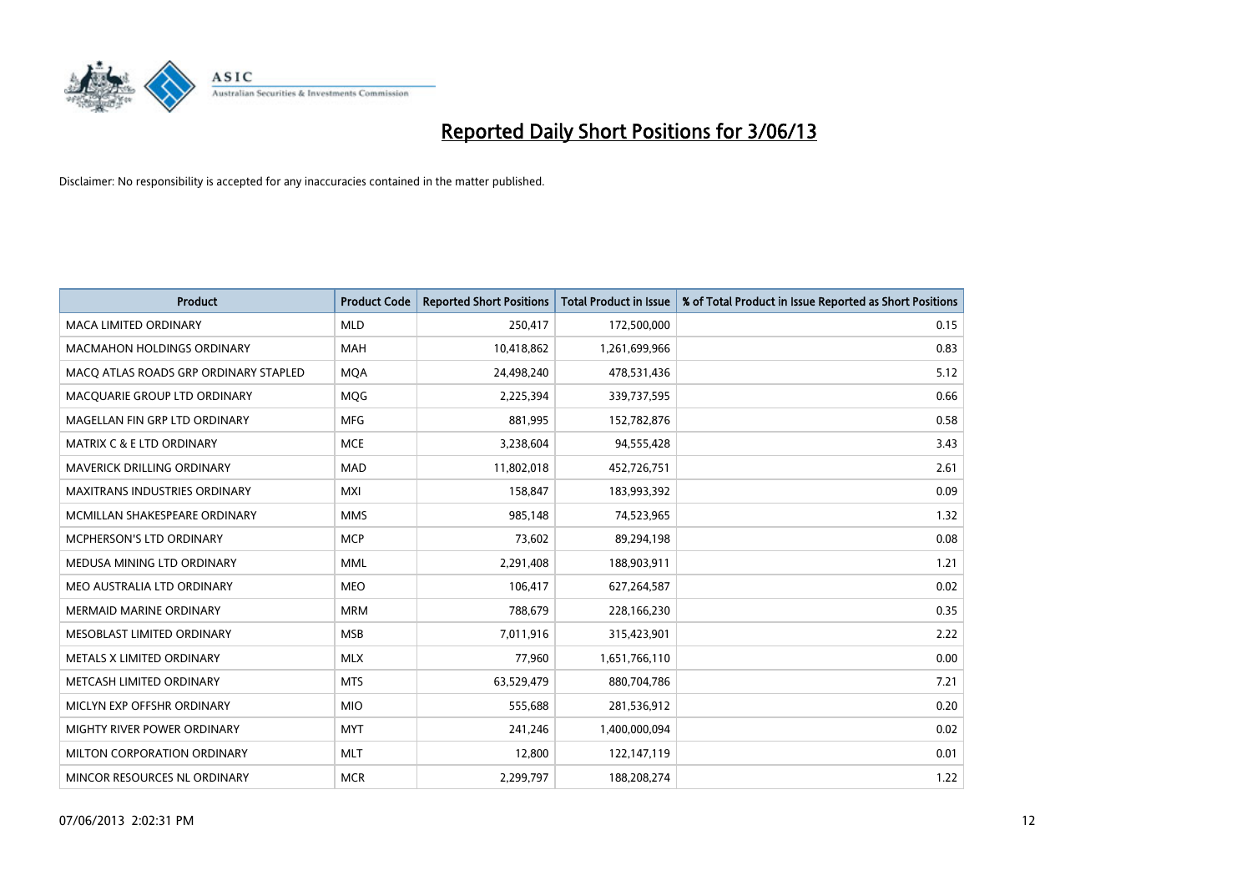

| <b>Product</b>                        | <b>Product Code</b> | <b>Reported Short Positions</b> | <b>Total Product in Issue</b> | % of Total Product in Issue Reported as Short Positions |
|---------------------------------------|---------------------|---------------------------------|-------------------------------|---------------------------------------------------------|
| <b>MACA LIMITED ORDINARY</b>          | <b>MLD</b>          | 250,417                         | 172,500,000                   | 0.15                                                    |
| <b>MACMAHON HOLDINGS ORDINARY</b>     | MAH                 | 10,418,862                      | 1,261,699,966                 | 0.83                                                    |
| MACO ATLAS ROADS GRP ORDINARY STAPLED | <b>MQA</b>          | 24,498,240                      | 478,531,436                   | 5.12                                                    |
| MACQUARIE GROUP LTD ORDINARY          | <b>MQG</b>          | 2,225,394                       | 339,737,595                   | 0.66                                                    |
| MAGELLAN FIN GRP LTD ORDINARY         | <b>MFG</b>          | 881,995                         | 152,782,876                   | 0.58                                                    |
| <b>MATRIX C &amp; E LTD ORDINARY</b>  | <b>MCE</b>          | 3,238,604                       | 94,555,428                    | 3.43                                                    |
| <b>MAVERICK DRILLING ORDINARY</b>     | <b>MAD</b>          | 11,802,018                      | 452,726,751                   | 2.61                                                    |
| MAXITRANS INDUSTRIES ORDINARY         | <b>MXI</b>          | 158,847                         | 183,993,392                   | 0.09                                                    |
| MCMILLAN SHAKESPEARE ORDINARY         | <b>MMS</b>          | 985,148                         | 74,523,965                    | 1.32                                                    |
| MCPHERSON'S LTD ORDINARY              | <b>MCP</b>          | 73,602                          | 89,294,198                    | 0.08                                                    |
| MEDUSA MINING LTD ORDINARY            | <b>MML</b>          | 2,291,408                       | 188,903,911                   | 1.21                                                    |
| MEO AUSTRALIA LTD ORDINARY            | <b>MEO</b>          | 106,417                         | 627,264,587                   | 0.02                                                    |
| MERMAID MARINE ORDINARY               | <b>MRM</b>          | 788,679                         | 228,166,230                   | 0.35                                                    |
| MESOBLAST LIMITED ORDINARY            | <b>MSB</b>          | 7,011,916                       | 315,423,901                   | 2.22                                                    |
| METALS X LIMITED ORDINARY             | <b>MLX</b>          | 77,960                          | 1,651,766,110                 | 0.00                                                    |
| METCASH LIMITED ORDINARY              | <b>MTS</b>          | 63,529,479                      | 880,704,786                   | 7.21                                                    |
| MICLYN EXP OFFSHR ORDINARY            | <b>MIO</b>          | 555,688                         | 281,536,912                   | 0.20                                                    |
| MIGHTY RIVER POWER ORDINARY           | <b>MYT</b>          | 241,246                         | 1,400,000,094                 | 0.02                                                    |
| MILTON CORPORATION ORDINARY           | <b>MLT</b>          | 12,800                          | 122,147,119                   | 0.01                                                    |
| MINCOR RESOURCES NL ORDINARY          | <b>MCR</b>          | 2,299,797                       | 188,208,274                   | 1.22                                                    |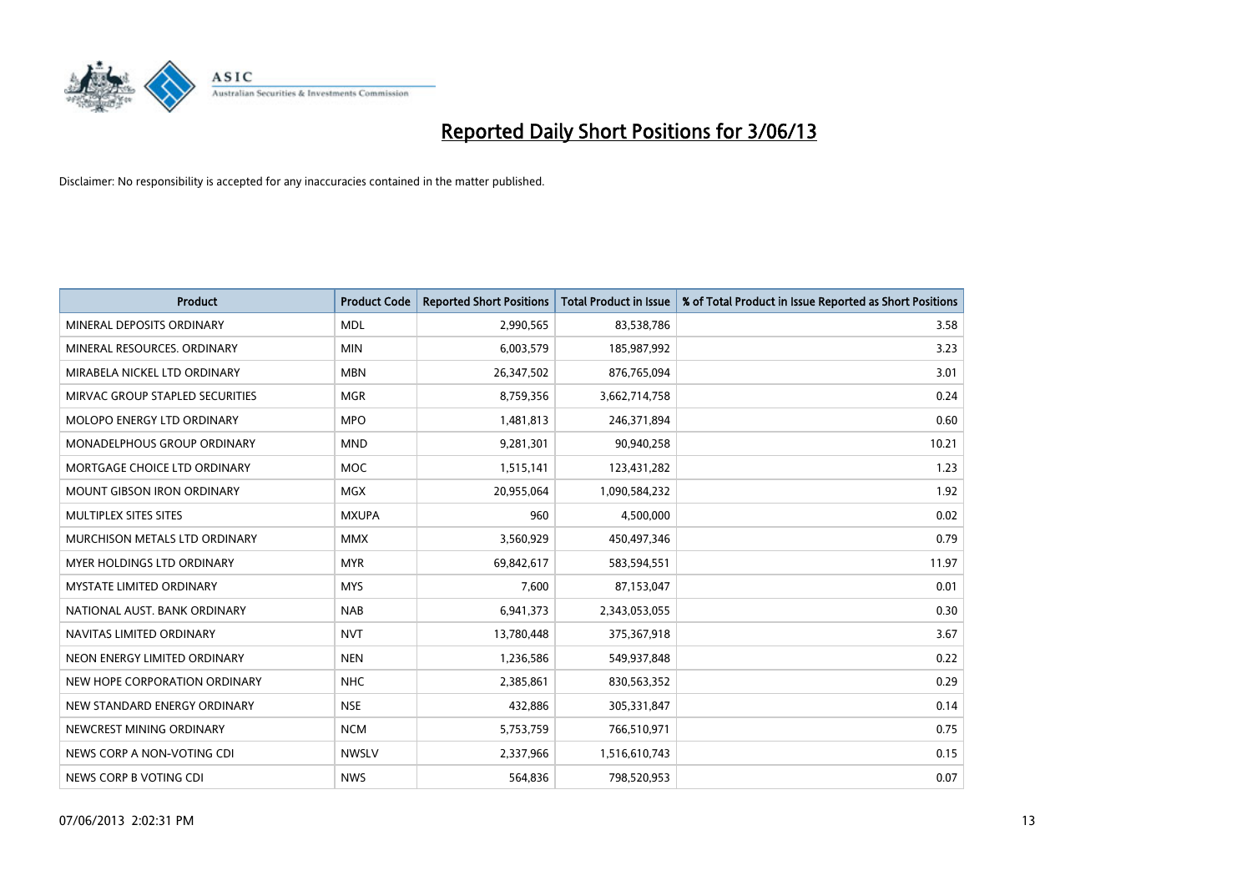

| <b>Product</b>                     | <b>Product Code</b> | <b>Reported Short Positions</b> | <b>Total Product in Issue</b> | % of Total Product in Issue Reported as Short Positions |
|------------------------------------|---------------------|---------------------------------|-------------------------------|---------------------------------------------------------|
| MINERAL DEPOSITS ORDINARY          | <b>MDL</b>          | 2,990,565                       | 83,538,786                    | 3.58                                                    |
| MINERAL RESOURCES, ORDINARY        | <b>MIN</b>          | 6,003,579                       | 185,987,992                   | 3.23                                                    |
| MIRABELA NICKEL LTD ORDINARY       | <b>MBN</b>          | 26,347,502                      | 876,765,094                   | 3.01                                                    |
| MIRVAC GROUP STAPLED SECURITIES    | <b>MGR</b>          | 8,759,356                       | 3,662,714,758                 | 0.24                                                    |
| MOLOPO ENERGY LTD ORDINARY         | <b>MPO</b>          | 1,481,813                       | 246,371,894                   | 0.60                                                    |
| <b>MONADELPHOUS GROUP ORDINARY</b> | <b>MND</b>          | 9,281,301                       | 90,940,258                    | 10.21                                                   |
| MORTGAGE CHOICE LTD ORDINARY       | MOC                 | 1,515,141                       | 123,431,282                   | 1.23                                                    |
| MOUNT GIBSON IRON ORDINARY         | <b>MGX</b>          | 20,955,064                      | 1,090,584,232                 | 1.92                                                    |
| MULTIPLEX SITES SITES              | <b>MXUPA</b>        | 960                             | 4,500,000                     | 0.02                                                    |
| MURCHISON METALS LTD ORDINARY      | <b>MMX</b>          | 3,560,929                       | 450,497,346                   | 0.79                                                    |
| <b>MYER HOLDINGS LTD ORDINARY</b>  | <b>MYR</b>          | 69,842,617                      | 583,594,551                   | 11.97                                                   |
| <b>MYSTATE LIMITED ORDINARY</b>    | <b>MYS</b>          | 7,600                           | 87,153,047                    | 0.01                                                    |
| NATIONAL AUST. BANK ORDINARY       | <b>NAB</b>          | 6,941,373                       | 2,343,053,055                 | 0.30                                                    |
| NAVITAS LIMITED ORDINARY           | <b>NVT</b>          | 13,780,448                      | 375,367,918                   | 3.67                                                    |
| NEON ENERGY LIMITED ORDINARY       | <b>NEN</b>          | 1,236,586                       | 549,937,848                   | 0.22                                                    |
| NEW HOPE CORPORATION ORDINARY      | NHC                 | 2,385,861                       | 830,563,352                   | 0.29                                                    |
| NEW STANDARD ENERGY ORDINARY       | <b>NSE</b>          | 432,886                         | 305,331,847                   | 0.14                                                    |
| NEWCREST MINING ORDINARY           | <b>NCM</b>          | 5,753,759                       | 766,510,971                   | 0.75                                                    |
| NEWS CORP A NON-VOTING CDI         | <b>NWSLV</b>        | 2,337,966                       | 1,516,610,743                 | 0.15                                                    |
| NEWS CORP B VOTING CDI             | <b>NWS</b>          | 564,836                         | 798,520,953                   | 0.07                                                    |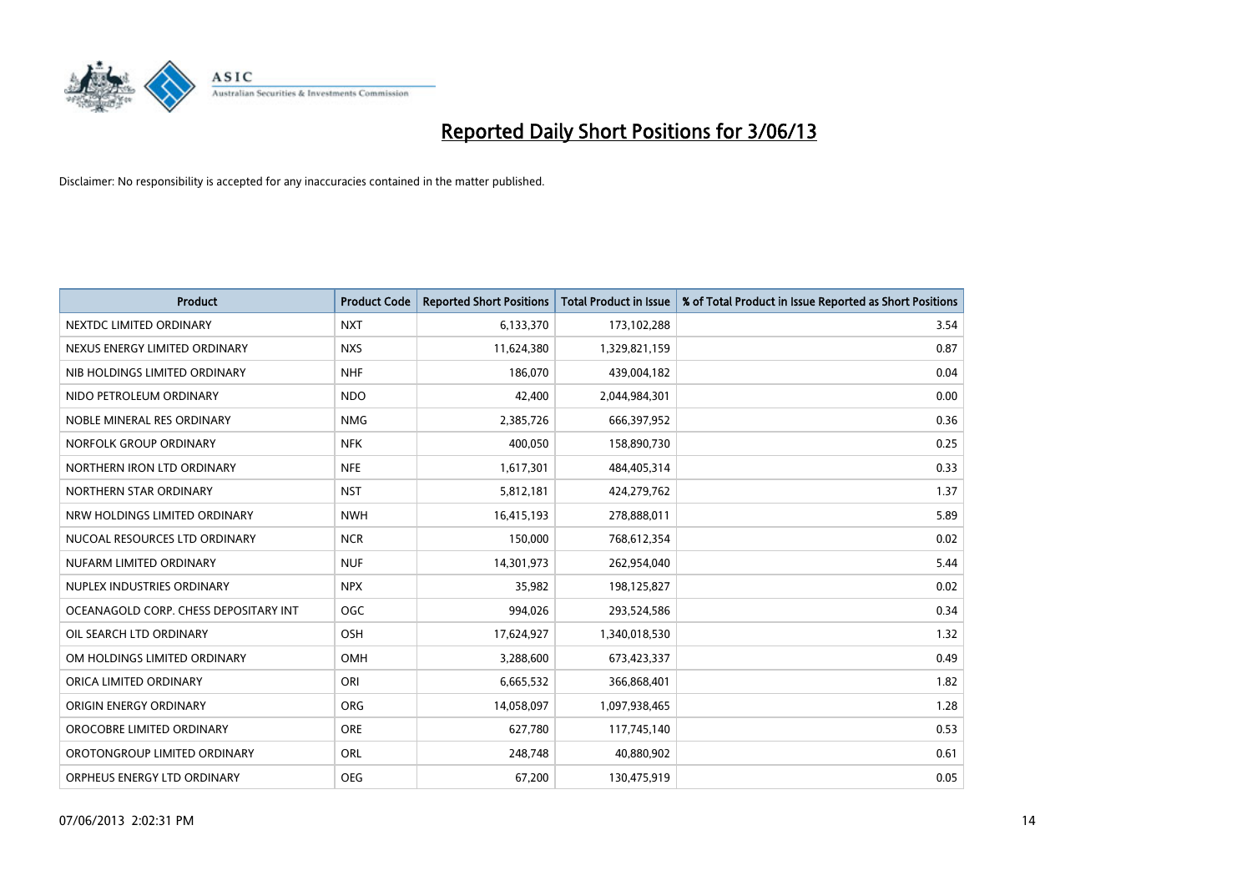

| <b>Product</b>                        | <b>Product Code</b> | <b>Reported Short Positions</b> | <b>Total Product in Issue</b> | % of Total Product in Issue Reported as Short Positions |
|---------------------------------------|---------------------|---------------------------------|-------------------------------|---------------------------------------------------------|
| NEXTDC LIMITED ORDINARY               | <b>NXT</b>          | 6,133,370                       | 173,102,288                   | 3.54                                                    |
| NEXUS ENERGY LIMITED ORDINARY         | <b>NXS</b>          | 11,624,380                      | 1,329,821,159                 | 0.87                                                    |
| NIB HOLDINGS LIMITED ORDINARY         | <b>NHF</b>          | 186,070                         | 439,004,182                   | 0.04                                                    |
| NIDO PETROLEUM ORDINARY               | <b>NDO</b>          | 42,400                          | 2,044,984,301                 | 0.00                                                    |
| NOBLE MINERAL RES ORDINARY            | <b>NMG</b>          | 2,385,726                       | 666,397,952                   | 0.36                                                    |
| NORFOLK GROUP ORDINARY                | <b>NFK</b>          | 400,050                         | 158,890,730                   | 0.25                                                    |
| NORTHERN IRON LTD ORDINARY            | <b>NFE</b>          | 1,617,301                       | 484,405,314                   | 0.33                                                    |
| NORTHERN STAR ORDINARY                | <b>NST</b>          | 5,812,181                       | 424,279,762                   | 1.37                                                    |
| NRW HOLDINGS LIMITED ORDINARY         | <b>NWH</b>          | 16,415,193                      | 278,888,011                   | 5.89                                                    |
| NUCOAL RESOURCES LTD ORDINARY         | <b>NCR</b>          | 150,000                         | 768,612,354                   | 0.02                                                    |
| NUFARM LIMITED ORDINARY               | <b>NUF</b>          | 14,301,973                      | 262,954,040                   | 5.44                                                    |
| NUPLEX INDUSTRIES ORDINARY            | <b>NPX</b>          | 35,982                          | 198,125,827                   | 0.02                                                    |
| OCEANAGOLD CORP. CHESS DEPOSITARY INT | <b>OGC</b>          | 994,026                         | 293,524,586                   | 0.34                                                    |
| OIL SEARCH LTD ORDINARY               | OSH                 | 17,624,927                      | 1,340,018,530                 | 1.32                                                    |
| OM HOLDINGS LIMITED ORDINARY          | <b>OMH</b>          | 3,288,600                       | 673,423,337                   | 0.49                                                    |
| ORICA LIMITED ORDINARY                | ORI                 | 6,665,532                       | 366,868,401                   | 1.82                                                    |
| ORIGIN ENERGY ORDINARY                | ORG                 | 14,058,097                      | 1,097,938,465                 | 1.28                                                    |
| OROCOBRE LIMITED ORDINARY             | <b>ORE</b>          | 627,780                         | 117,745,140                   | 0.53                                                    |
| OROTONGROUP LIMITED ORDINARY          | ORL                 | 248,748                         | 40,880,902                    | 0.61                                                    |
| ORPHEUS ENERGY LTD ORDINARY           | <b>OEG</b>          | 67,200                          | 130,475,919                   | 0.05                                                    |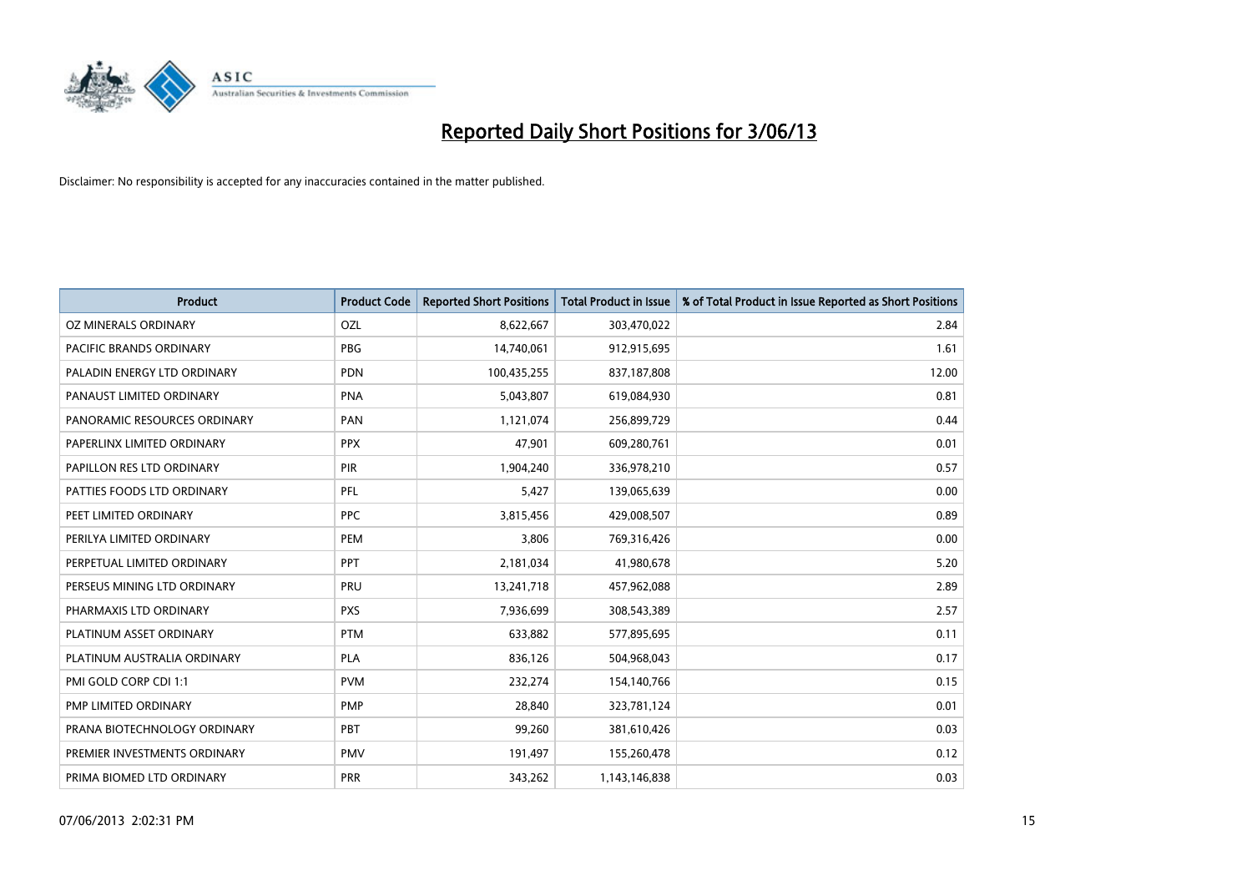

| <b>Product</b>               | <b>Product Code</b> | <b>Reported Short Positions</b> | <b>Total Product in Issue</b> | % of Total Product in Issue Reported as Short Positions |
|------------------------------|---------------------|---------------------------------|-------------------------------|---------------------------------------------------------|
| OZ MINERALS ORDINARY         | OZL                 | 8,622,667                       | 303,470,022                   | 2.84                                                    |
| PACIFIC BRANDS ORDINARY      | <b>PBG</b>          | 14,740,061                      | 912,915,695                   | 1.61                                                    |
| PALADIN ENERGY LTD ORDINARY  | <b>PDN</b>          | 100,435,255                     | 837,187,808                   | 12.00                                                   |
| PANAUST LIMITED ORDINARY     | <b>PNA</b>          | 5,043,807                       | 619,084,930                   | 0.81                                                    |
| PANORAMIC RESOURCES ORDINARY | PAN                 | 1,121,074                       | 256,899,729                   | 0.44                                                    |
| PAPERLINX LIMITED ORDINARY   | <b>PPX</b>          | 47,901                          | 609,280,761                   | 0.01                                                    |
| PAPILLON RES LTD ORDINARY    | PIR                 | 1,904,240                       | 336,978,210                   | 0.57                                                    |
| PATTIES FOODS LTD ORDINARY   | PFL                 | 5,427                           | 139,065,639                   | 0.00                                                    |
| PEET LIMITED ORDINARY        | <b>PPC</b>          | 3,815,456                       | 429,008,507                   | 0.89                                                    |
| PERILYA LIMITED ORDINARY     | PEM                 | 3,806                           | 769,316,426                   | 0.00                                                    |
| PERPETUAL LIMITED ORDINARY   | PPT                 | 2,181,034                       | 41,980,678                    | 5.20                                                    |
| PERSEUS MINING LTD ORDINARY  | PRU                 | 13,241,718                      | 457,962,088                   | 2.89                                                    |
| PHARMAXIS LTD ORDINARY       | <b>PXS</b>          | 7,936,699                       | 308,543,389                   | 2.57                                                    |
| PLATINUM ASSET ORDINARY      | <b>PTM</b>          | 633,882                         | 577,895,695                   | 0.11                                                    |
| PLATINUM AUSTRALIA ORDINARY  | <b>PLA</b>          | 836,126                         | 504,968,043                   | 0.17                                                    |
| PMI GOLD CORP CDI 1:1        | <b>PVM</b>          | 232,274                         | 154,140,766                   | 0.15                                                    |
| PMP LIMITED ORDINARY         | <b>PMP</b>          | 28,840                          | 323,781,124                   | 0.01                                                    |
| PRANA BIOTECHNOLOGY ORDINARY | <b>PBT</b>          | 99,260                          | 381,610,426                   | 0.03                                                    |
| PREMIER INVESTMENTS ORDINARY | <b>PMV</b>          | 191,497                         | 155,260,478                   | 0.12                                                    |
| PRIMA BIOMED LTD ORDINARY    | <b>PRR</b>          | 343,262                         | 1,143,146,838                 | 0.03                                                    |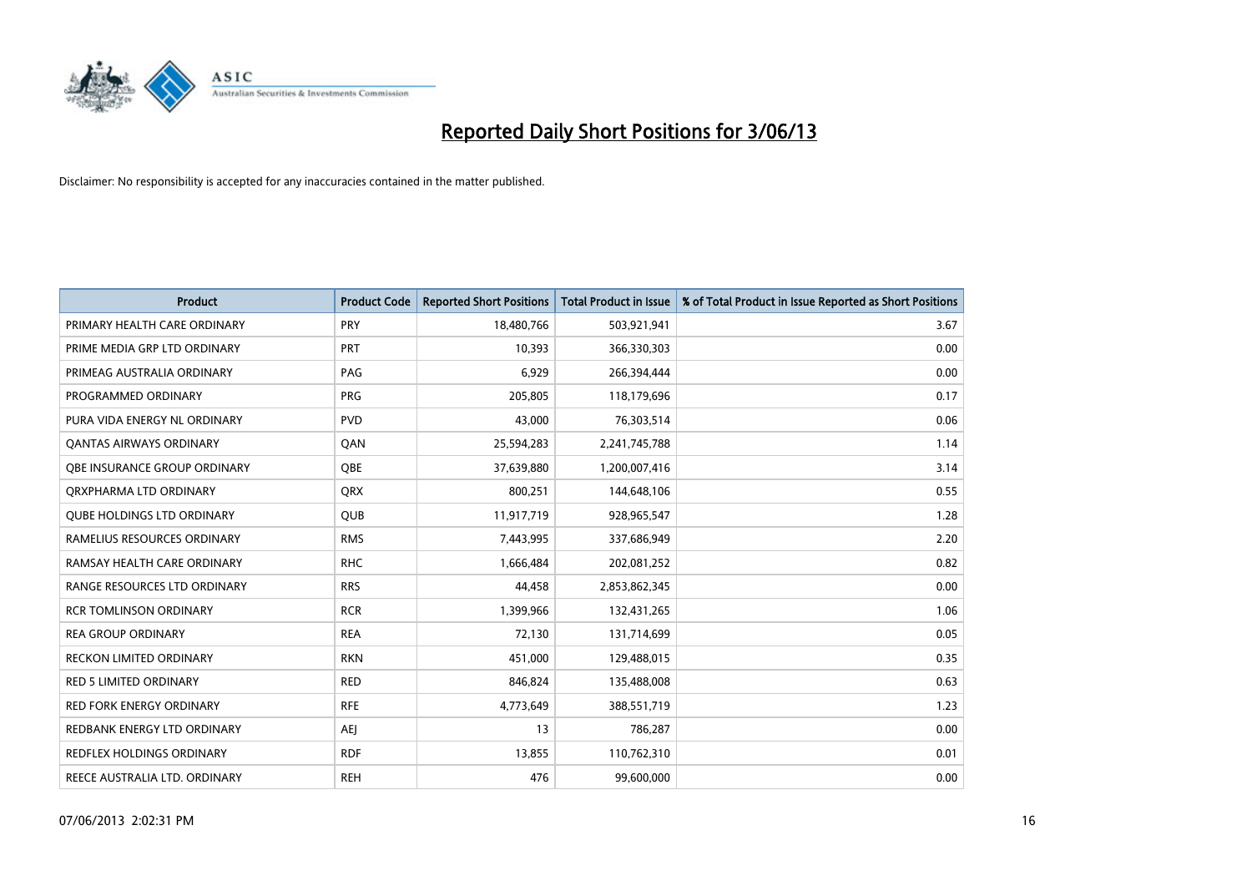

| <b>Product</b>                      | <b>Product Code</b> | <b>Reported Short Positions</b> | <b>Total Product in Issue</b> | % of Total Product in Issue Reported as Short Positions |
|-------------------------------------|---------------------|---------------------------------|-------------------------------|---------------------------------------------------------|
| PRIMARY HEALTH CARE ORDINARY        | <b>PRY</b>          | 18,480,766                      | 503,921,941                   | 3.67                                                    |
| PRIME MEDIA GRP LTD ORDINARY        | <b>PRT</b>          | 10,393                          | 366,330,303                   | 0.00                                                    |
| PRIMEAG AUSTRALIA ORDINARY          | PAG                 | 6,929                           | 266,394,444                   | 0.00                                                    |
| PROGRAMMED ORDINARY                 | <b>PRG</b>          | 205,805                         | 118,179,696                   | 0.17                                                    |
| PURA VIDA ENERGY NL ORDINARY        | <b>PVD</b>          | 43,000                          | 76,303,514                    | 0.06                                                    |
| <b>QANTAS AIRWAYS ORDINARY</b>      | QAN                 | 25,594,283                      | 2,241,745,788                 | 1.14                                                    |
| <b>OBE INSURANCE GROUP ORDINARY</b> | <b>OBE</b>          | 37,639,880                      | 1,200,007,416                 | 3.14                                                    |
| ORXPHARMA LTD ORDINARY              | <b>QRX</b>          | 800,251                         | 144,648,106                   | 0.55                                                    |
| <b>OUBE HOLDINGS LTD ORDINARY</b>   | QUB                 | 11,917,719                      | 928,965,547                   | 1.28                                                    |
| RAMELIUS RESOURCES ORDINARY         | <b>RMS</b>          | 7,443,995                       | 337,686,949                   | 2.20                                                    |
| RAMSAY HEALTH CARE ORDINARY         | <b>RHC</b>          | 1,666,484                       | 202,081,252                   | 0.82                                                    |
| RANGE RESOURCES LTD ORDINARY        | <b>RRS</b>          | 44,458                          | 2,853,862,345                 | 0.00                                                    |
| <b>RCR TOMLINSON ORDINARY</b>       | <b>RCR</b>          | 1,399,966                       | 132,431,265                   | 1.06                                                    |
| <b>REA GROUP ORDINARY</b>           | <b>REA</b>          | 72,130                          | 131,714,699                   | 0.05                                                    |
| <b>RECKON LIMITED ORDINARY</b>      | <b>RKN</b>          | 451,000                         | 129,488,015                   | 0.35                                                    |
| <b>RED 5 LIMITED ORDINARY</b>       | <b>RED</b>          | 846,824                         | 135,488,008                   | 0.63                                                    |
| <b>RED FORK ENERGY ORDINARY</b>     | <b>RFE</b>          | 4,773,649                       | 388,551,719                   | 1.23                                                    |
| REDBANK ENERGY LTD ORDINARY         | AEJ                 | 13                              | 786,287                       | 0.00                                                    |
| <b>REDFLEX HOLDINGS ORDINARY</b>    | <b>RDF</b>          | 13,855                          | 110,762,310                   | 0.01                                                    |
| REECE AUSTRALIA LTD. ORDINARY       | <b>REH</b>          | 476                             | 99,600,000                    | 0.00                                                    |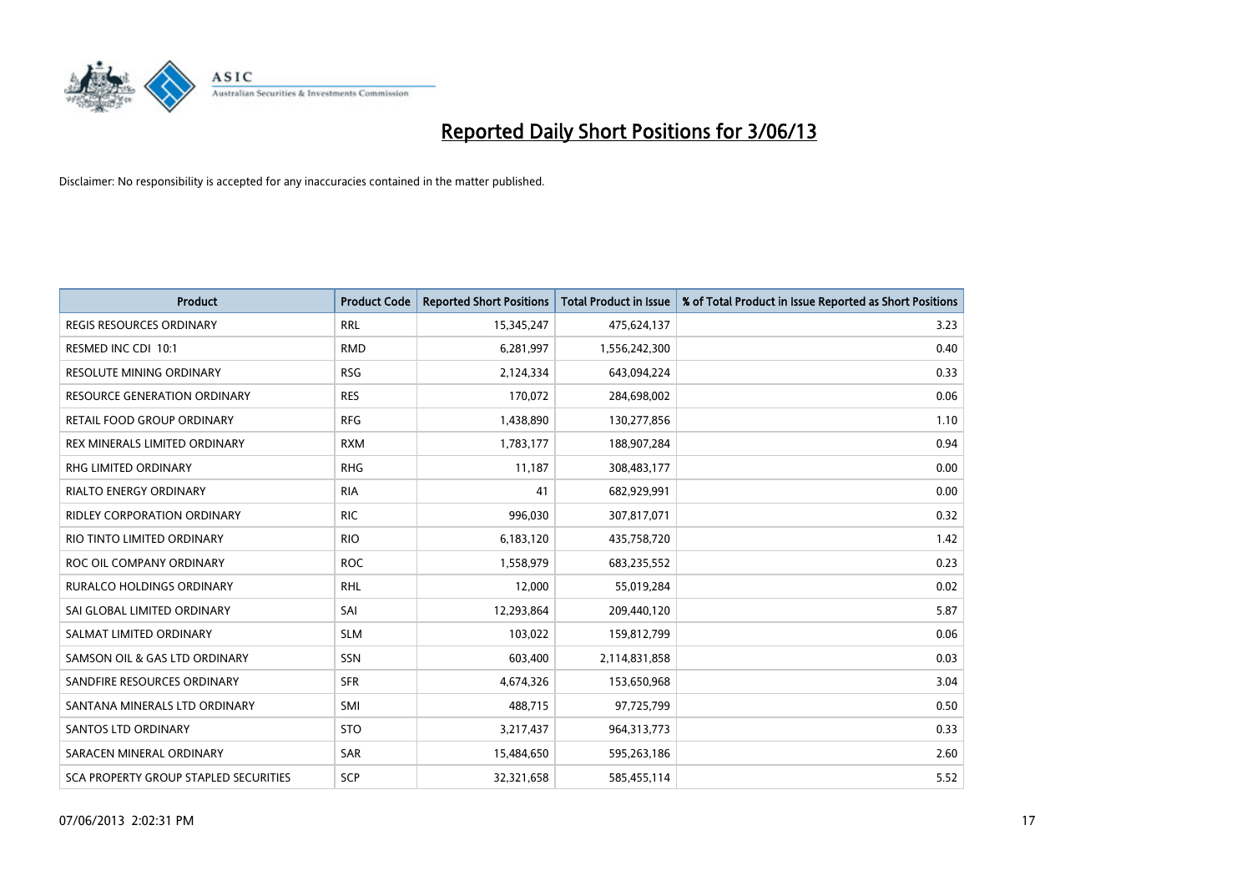

| <b>Product</b>                               | <b>Product Code</b> | <b>Reported Short Positions</b> | <b>Total Product in Issue</b> | % of Total Product in Issue Reported as Short Positions |
|----------------------------------------------|---------------------|---------------------------------|-------------------------------|---------------------------------------------------------|
| <b>REGIS RESOURCES ORDINARY</b>              | <b>RRL</b>          | 15,345,247                      | 475,624,137                   | 3.23                                                    |
| RESMED INC CDI 10:1                          | <b>RMD</b>          | 6,281,997                       | 1,556,242,300                 | 0.40                                                    |
| <b>RESOLUTE MINING ORDINARY</b>              | <b>RSG</b>          | 2,124,334                       | 643,094,224                   | 0.33                                                    |
| RESOURCE GENERATION ORDINARY                 | <b>RES</b>          | 170,072                         | 284,698,002                   | 0.06                                                    |
| <b>RETAIL FOOD GROUP ORDINARY</b>            | <b>RFG</b>          | 1,438,890                       | 130,277,856                   | 1.10                                                    |
| REX MINERALS LIMITED ORDINARY                | <b>RXM</b>          | 1,783,177                       | 188,907,284                   | 0.94                                                    |
| <b>RHG LIMITED ORDINARY</b>                  | <b>RHG</b>          | 11,187                          | 308,483,177                   | 0.00                                                    |
| <b>RIALTO ENERGY ORDINARY</b>                | <b>RIA</b>          | 41                              | 682,929,991                   | 0.00                                                    |
| RIDLEY CORPORATION ORDINARY                  | <b>RIC</b>          | 996,030                         | 307,817,071                   | 0.32                                                    |
| RIO TINTO LIMITED ORDINARY                   | <b>RIO</b>          | 6,183,120                       | 435,758,720                   | 1.42                                                    |
| ROC OIL COMPANY ORDINARY                     | <b>ROC</b>          | 1,558,979                       | 683,235,552                   | 0.23                                                    |
| RURALCO HOLDINGS ORDINARY                    | <b>RHL</b>          | 12,000                          | 55,019,284                    | 0.02                                                    |
| SAI GLOBAL LIMITED ORDINARY                  | SAI                 | 12,293,864                      | 209,440,120                   | 5.87                                                    |
| SALMAT LIMITED ORDINARY                      | <b>SLM</b>          | 103,022                         | 159,812,799                   | 0.06                                                    |
| SAMSON OIL & GAS LTD ORDINARY                | SSN                 | 603,400                         | 2,114,831,858                 | 0.03                                                    |
| SANDFIRE RESOURCES ORDINARY                  | <b>SFR</b>          | 4,674,326                       | 153,650,968                   | 3.04                                                    |
| SANTANA MINERALS LTD ORDINARY                | SMI                 | 488,715                         | 97,725,799                    | 0.50                                                    |
| SANTOS LTD ORDINARY                          | <b>STO</b>          | 3,217,437                       | 964,313,773                   | 0.33                                                    |
| SARACEN MINERAL ORDINARY                     | SAR                 | 15,484,650                      | 595,263,186                   | 2.60                                                    |
| <b>SCA PROPERTY GROUP STAPLED SECURITIES</b> | SCP                 | 32,321,658                      | 585,455,114                   | 5.52                                                    |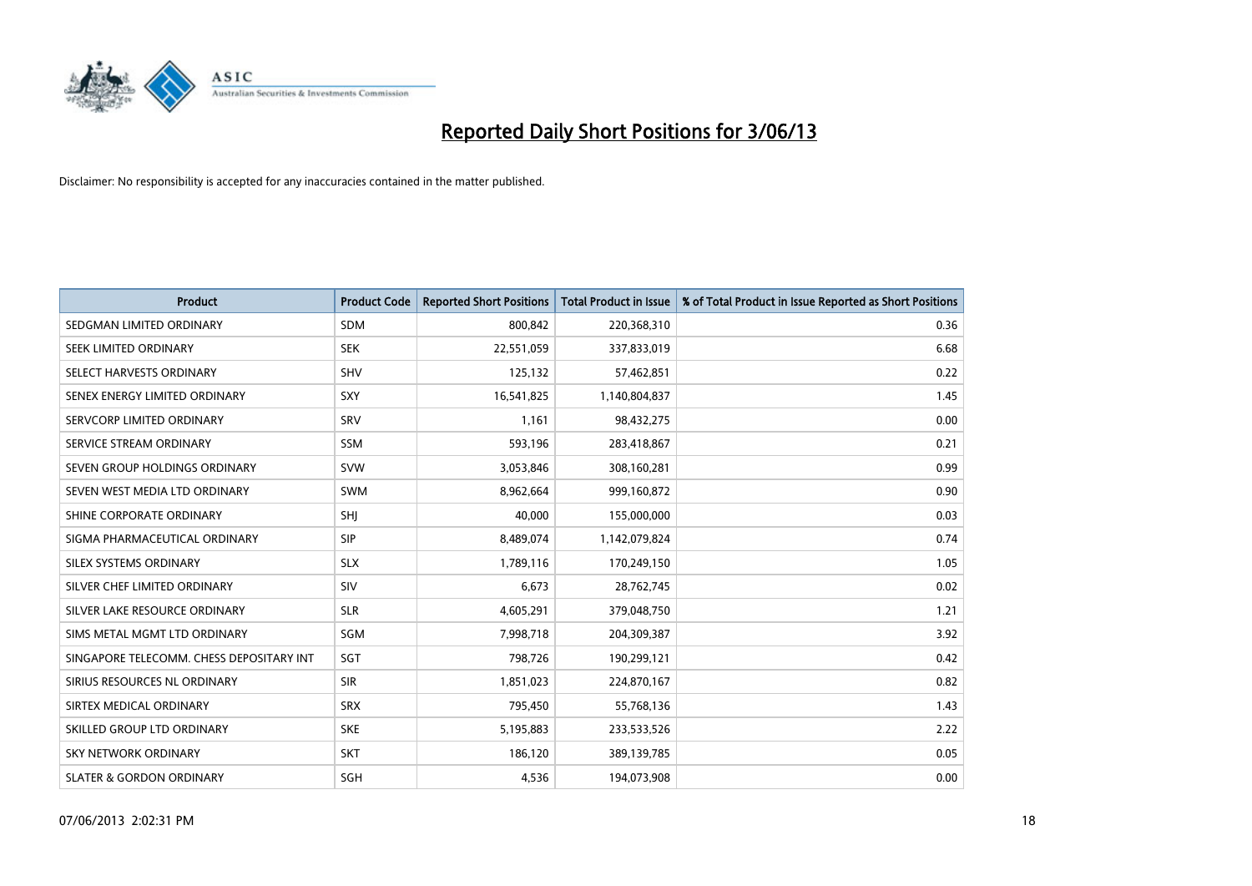

| <b>Product</b>                           | <b>Product Code</b> | <b>Reported Short Positions</b> | <b>Total Product in Issue</b> | % of Total Product in Issue Reported as Short Positions |
|------------------------------------------|---------------------|---------------------------------|-------------------------------|---------------------------------------------------------|
| SEDGMAN LIMITED ORDINARY                 | <b>SDM</b>          | 800,842                         | 220,368,310                   | 0.36                                                    |
| SEEK LIMITED ORDINARY                    | <b>SEK</b>          | 22,551,059                      | 337,833,019                   | 6.68                                                    |
| SELECT HARVESTS ORDINARY                 | <b>SHV</b>          | 125,132                         | 57,462,851                    | 0.22                                                    |
| SENEX ENERGY LIMITED ORDINARY            | <b>SXY</b>          | 16,541,825                      | 1,140,804,837                 | 1.45                                                    |
| SERVCORP LIMITED ORDINARY                | SRV                 | 1,161                           | 98,432,275                    | 0.00                                                    |
| SERVICE STREAM ORDINARY                  | SSM                 | 593,196                         | 283,418,867                   | 0.21                                                    |
| SEVEN GROUP HOLDINGS ORDINARY            | <b>SVW</b>          | 3,053,846                       | 308,160,281                   | 0.99                                                    |
| SEVEN WEST MEDIA LTD ORDINARY            | SWM                 | 8,962,664                       | 999,160,872                   | 0.90                                                    |
| SHINE CORPORATE ORDINARY                 | <b>SHI</b>          | 40,000                          | 155,000,000                   | 0.03                                                    |
| SIGMA PHARMACEUTICAL ORDINARY            | <b>SIP</b>          | 8,489,074                       | 1,142,079,824                 | 0.74                                                    |
| SILEX SYSTEMS ORDINARY                   | <b>SLX</b>          | 1,789,116                       | 170,249,150                   | 1.05                                                    |
| SILVER CHEF LIMITED ORDINARY             | SIV                 | 6,673                           | 28,762,745                    | 0.02                                                    |
| SILVER LAKE RESOURCE ORDINARY            | <b>SLR</b>          | 4,605,291                       | 379,048,750                   | 1.21                                                    |
| SIMS METAL MGMT LTD ORDINARY             | SGM                 | 7,998,718                       | 204,309,387                   | 3.92                                                    |
| SINGAPORE TELECOMM. CHESS DEPOSITARY INT | SGT                 | 798,726                         | 190,299,121                   | 0.42                                                    |
| SIRIUS RESOURCES NL ORDINARY             | <b>SIR</b>          | 1,851,023                       | 224,870,167                   | 0.82                                                    |
| SIRTEX MEDICAL ORDINARY                  | <b>SRX</b>          | 795,450                         | 55,768,136                    | 1.43                                                    |
| SKILLED GROUP LTD ORDINARY               | <b>SKE</b>          | 5,195,883                       | 233,533,526                   | 2.22                                                    |
| <b>SKY NETWORK ORDINARY</b>              | <b>SKT</b>          | 186,120                         | 389,139,785                   | 0.05                                                    |
| <b>SLATER &amp; GORDON ORDINARY</b>      | SGH                 | 4,536                           | 194,073,908                   | 0.00                                                    |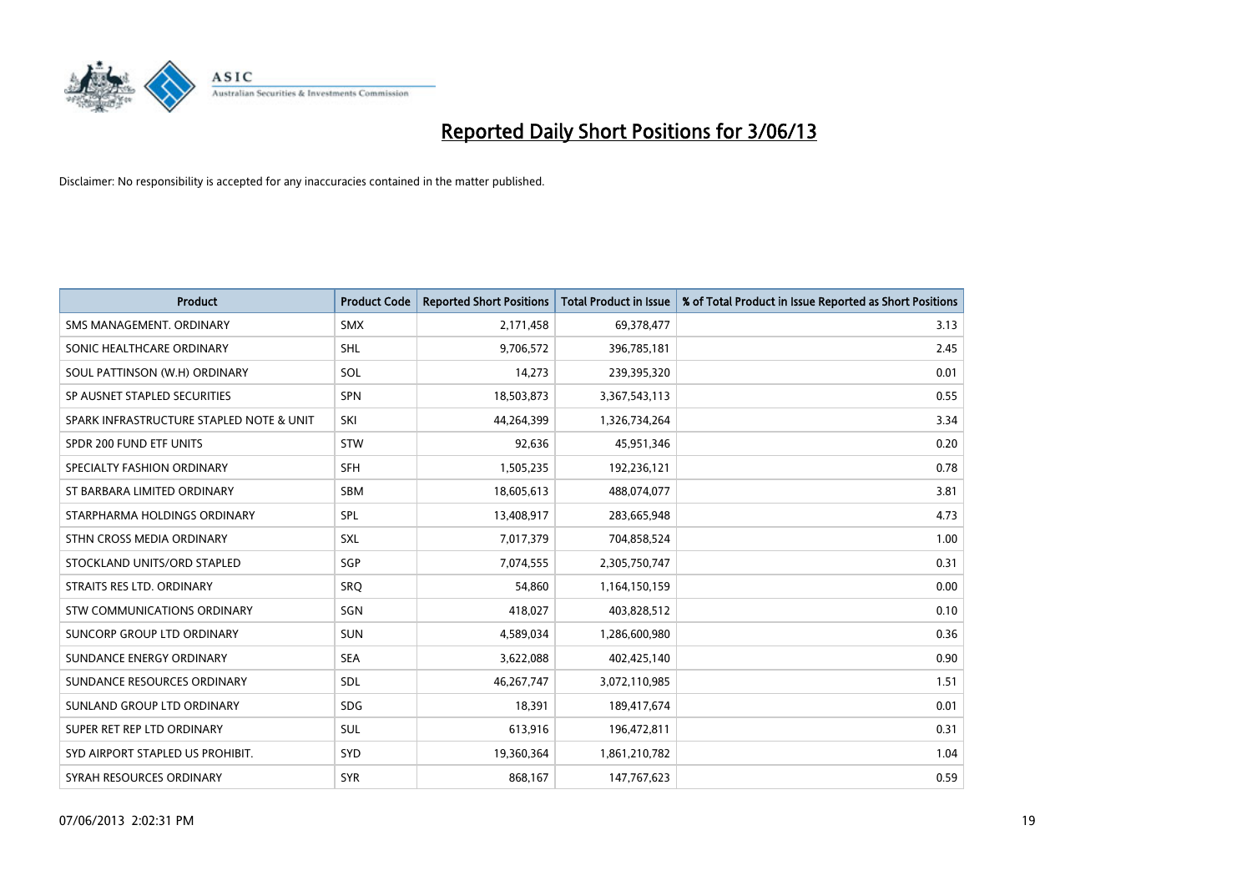

| <b>Product</b>                           | <b>Product Code</b> | <b>Reported Short Positions</b> | <b>Total Product in Issue</b> | % of Total Product in Issue Reported as Short Positions |
|------------------------------------------|---------------------|---------------------------------|-------------------------------|---------------------------------------------------------|
| SMS MANAGEMENT, ORDINARY                 | <b>SMX</b>          | 2,171,458                       | 69,378,477                    | 3.13                                                    |
| SONIC HEALTHCARE ORDINARY                | <b>SHL</b>          | 9,706,572                       | 396,785,181                   | 2.45                                                    |
| SOUL PATTINSON (W.H) ORDINARY            | <b>SOL</b>          | 14,273                          | 239,395,320                   | 0.01                                                    |
| SP AUSNET STAPLED SECURITIES             | <b>SPN</b>          | 18,503,873                      | 3,367,543,113                 | 0.55                                                    |
| SPARK INFRASTRUCTURE STAPLED NOTE & UNIT | SKI                 | 44,264,399                      | 1,326,734,264                 | 3.34                                                    |
| SPDR 200 FUND ETF UNITS                  | <b>STW</b>          | 92,636                          | 45,951,346                    | 0.20                                                    |
| SPECIALTY FASHION ORDINARY               | <b>SFH</b>          | 1,505,235                       | 192,236,121                   | 0.78                                                    |
| ST BARBARA LIMITED ORDINARY              | <b>SBM</b>          | 18,605,613                      | 488,074,077                   | 3.81                                                    |
| STARPHARMA HOLDINGS ORDINARY             | SPL                 | 13,408,917                      | 283,665,948                   | 4.73                                                    |
| STHN CROSS MEDIA ORDINARY                | <b>SXL</b>          | 7,017,379                       | 704,858,524                   | 1.00                                                    |
| STOCKLAND UNITS/ORD STAPLED              | SGP                 | 7,074,555                       | 2,305,750,747                 | 0.31                                                    |
| STRAITS RES LTD. ORDINARY                | <b>SRQ</b>          | 54,860                          | 1,164,150,159                 | 0.00                                                    |
| <b>STW COMMUNICATIONS ORDINARY</b>       | SGN                 | 418,027                         | 403,828,512                   | 0.10                                                    |
| <b>SUNCORP GROUP LTD ORDINARY</b>        | <b>SUN</b>          | 4,589,034                       | 1,286,600,980                 | 0.36                                                    |
| SUNDANCE ENERGY ORDINARY                 | <b>SEA</b>          | 3,622,088                       | 402,425,140                   | 0.90                                                    |
| SUNDANCE RESOURCES ORDINARY              | SDL                 | 46,267,747                      | 3,072,110,985                 | 1.51                                                    |
| SUNLAND GROUP LTD ORDINARY               | <b>SDG</b>          | 18,391                          | 189,417,674                   | 0.01                                                    |
| SUPER RET REP LTD ORDINARY               | <b>SUL</b>          | 613,916                         | 196,472,811                   | 0.31                                                    |
| SYD AIRPORT STAPLED US PROHIBIT.         | <b>SYD</b>          | 19,360,364                      | 1,861,210,782                 | 1.04                                                    |
| SYRAH RESOURCES ORDINARY                 | <b>SYR</b>          | 868,167                         | 147,767,623                   | 0.59                                                    |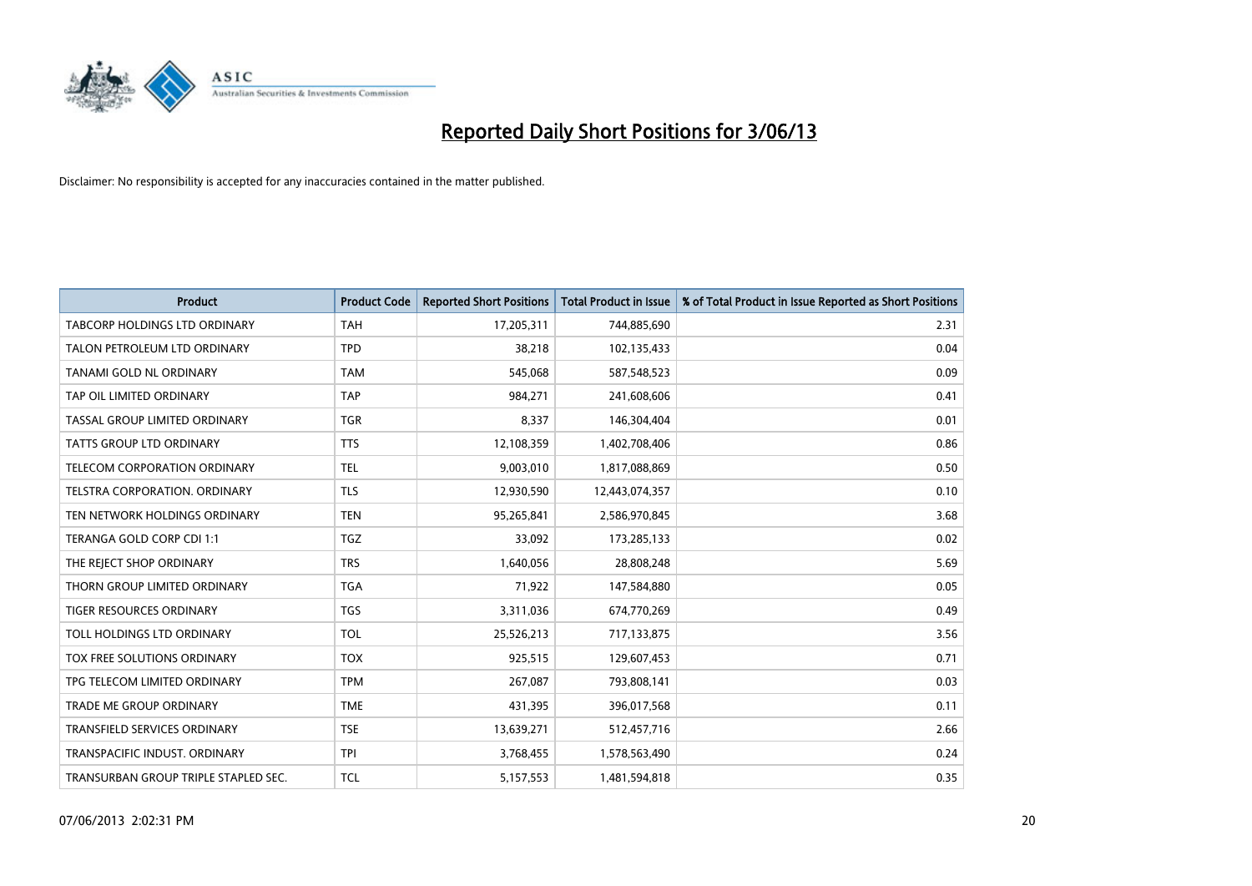

| <b>Product</b>                       | <b>Product Code</b> | <b>Reported Short Positions</b> | <b>Total Product in Issue</b> | % of Total Product in Issue Reported as Short Positions |
|--------------------------------------|---------------------|---------------------------------|-------------------------------|---------------------------------------------------------|
| <b>TABCORP HOLDINGS LTD ORDINARY</b> | <b>TAH</b>          | 17,205,311                      | 744,885,690                   | 2.31                                                    |
| TALON PETROLEUM LTD ORDINARY         | <b>TPD</b>          | 38,218                          | 102,135,433                   | 0.04                                                    |
| TANAMI GOLD NL ORDINARY              | <b>TAM</b>          | 545,068                         | 587,548,523                   | 0.09                                                    |
| TAP OIL LIMITED ORDINARY             | <b>TAP</b>          | 984,271                         | 241,608,606                   | 0.41                                                    |
| TASSAL GROUP LIMITED ORDINARY        | <b>TGR</b>          | 8,337                           | 146,304,404                   | 0.01                                                    |
| <b>TATTS GROUP LTD ORDINARY</b>      | <b>TTS</b>          | 12,108,359                      | 1,402,708,406                 | 0.86                                                    |
| <b>TELECOM CORPORATION ORDINARY</b>  | <b>TEL</b>          | 9,003,010                       | 1,817,088,869                 | 0.50                                                    |
| TELSTRA CORPORATION, ORDINARY        | <b>TLS</b>          | 12,930,590                      | 12,443,074,357                | 0.10                                                    |
| TEN NETWORK HOLDINGS ORDINARY        | <b>TEN</b>          | 95,265,841                      | 2,586,970,845                 | 3.68                                                    |
| TERANGA GOLD CORP CDI 1:1            | <b>TGZ</b>          | 33,092                          | 173,285,133                   | 0.02                                                    |
| THE REJECT SHOP ORDINARY             | <b>TRS</b>          | 1,640,056                       | 28,808,248                    | 5.69                                                    |
| THORN GROUP LIMITED ORDINARY         | <b>TGA</b>          | 71,922                          | 147,584,880                   | 0.05                                                    |
| <b>TIGER RESOURCES ORDINARY</b>      | <b>TGS</b>          | 3,311,036                       | 674,770,269                   | 0.49                                                    |
| TOLL HOLDINGS LTD ORDINARY           | <b>TOL</b>          | 25,526,213                      | 717,133,875                   | 3.56                                                    |
| TOX FREE SOLUTIONS ORDINARY          | <b>TOX</b>          | 925,515                         | 129,607,453                   | 0.71                                                    |
| TPG TELECOM LIMITED ORDINARY         | <b>TPM</b>          | 267,087                         | 793,808,141                   | 0.03                                                    |
| <b>TRADE ME GROUP ORDINARY</b>       | <b>TME</b>          | 431,395                         | 396,017,568                   | 0.11                                                    |
| TRANSFIELD SERVICES ORDINARY         | <b>TSE</b>          | 13,639,271                      | 512,457,716                   | 2.66                                                    |
| TRANSPACIFIC INDUST, ORDINARY        | <b>TPI</b>          | 3,768,455                       | 1,578,563,490                 | 0.24                                                    |
| TRANSURBAN GROUP TRIPLE STAPLED SEC. | <b>TCL</b>          | 5,157,553                       | 1,481,594,818                 | 0.35                                                    |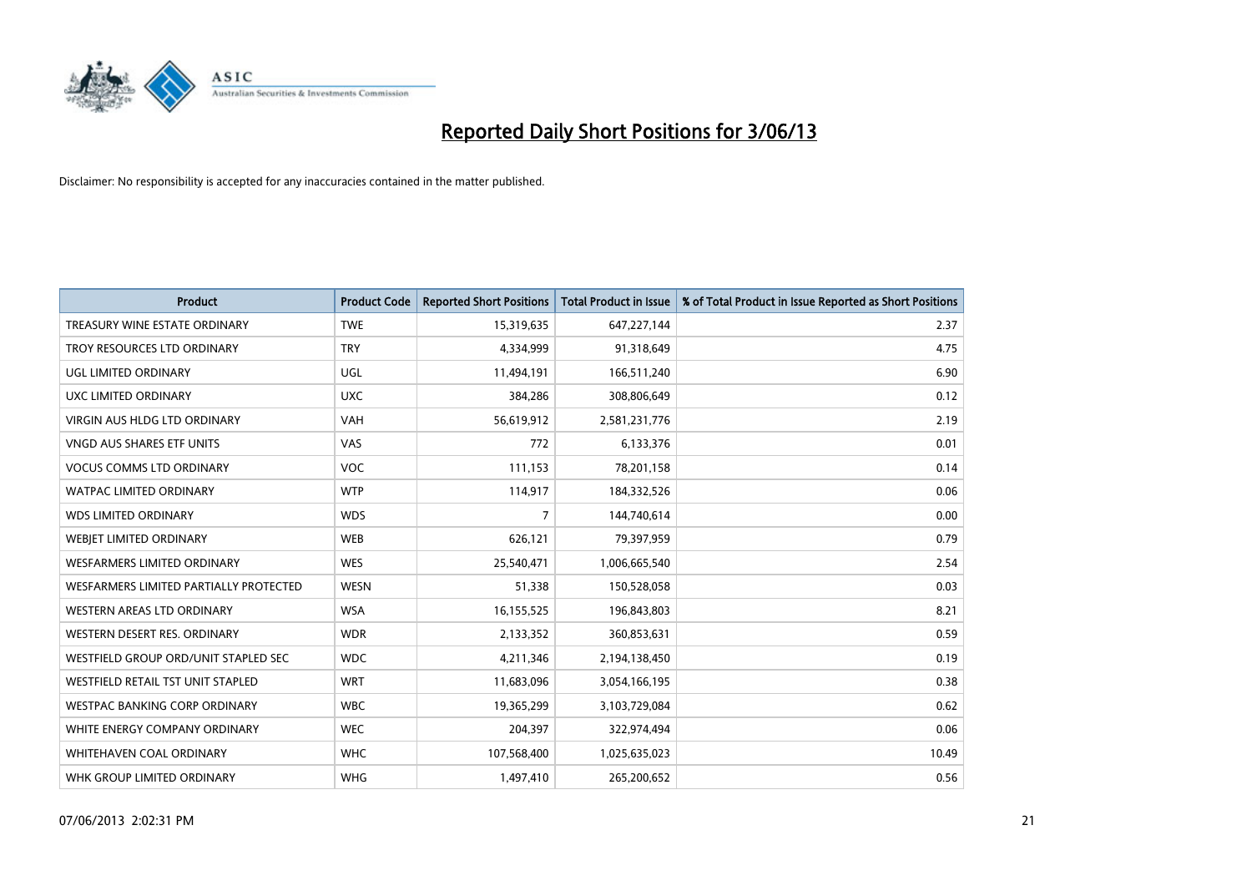

| <b>Product</b>                         | <b>Product Code</b> | <b>Reported Short Positions</b> | <b>Total Product in Issue</b> | % of Total Product in Issue Reported as Short Positions |
|----------------------------------------|---------------------|---------------------------------|-------------------------------|---------------------------------------------------------|
| TREASURY WINE ESTATE ORDINARY          | <b>TWE</b>          | 15,319,635                      | 647,227,144                   | 2.37                                                    |
| TROY RESOURCES LTD ORDINARY            | <b>TRY</b>          | 4,334,999                       | 91,318,649                    | 4.75                                                    |
| UGL LIMITED ORDINARY                   | UGL                 | 11,494,191                      | 166,511,240                   | 6.90                                                    |
| UXC LIMITED ORDINARY                   | <b>UXC</b>          | 384,286                         | 308,806,649                   | 0.12                                                    |
| <b>VIRGIN AUS HLDG LTD ORDINARY</b>    | <b>VAH</b>          | 56,619,912                      | 2,581,231,776                 | 2.19                                                    |
| VNGD AUS SHARES ETF UNITS              | VAS                 | 772                             | 6,133,376                     | 0.01                                                    |
| <b>VOCUS COMMS LTD ORDINARY</b>        | <b>VOC</b>          | 111,153                         | 78,201,158                    | 0.14                                                    |
| WATPAC LIMITED ORDINARY                | <b>WTP</b>          | 114,917                         | 184,332,526                   | 0.06                                                    |
| <b>WDS LIMITED ORDINARY</b>            | <b>WDS</b>          | 7                               | 144,740,614                   | 0.00                                                    |
| WEBJET LIMITED ORDINARY                | <b>WEB</b>          | 626,121                         | 79,397,959                    | 0.79                                                    |
| <b>WESFARMERS LIMITED ORDINARY</b>     | <b>WES</b>          | 25,540,471                      | 1,006,665,540                 | 2.54                                                    |
| WESFARMERS LIMITED PARTIALLY PROTECTED | <b>WESN</b>         | 51,338                          | 150,528,058                   | 0.03                                                    |
| WESTERN AREAS LTD ORDINARY             | <b>WSA</b>          | 16,155,525                      | 196,843,803                   | 8.21                                                    |
| WESTERN DESERT RES. ORDINARY           | <b>WDR</b>          | 2,133,352                       | 360,853,631                   | 0.59                                                    |
| WESTFIELD GROUP ORD/UNIT STAPLED SEC   | <b>WDC</b>          | 4,211,346                       | 2,194,138,450                 | 0.19                                                    |
| WESTFIELD RETAIL TST UNIT STAPLED      | <b>WRT</b>          | 11,683,096                      | 3,054,166,195                 | 0.38                                                    |
| WESTPAC BANKING CORP ORDINARY          | <b>WBC</b>          | 19,365,299                      | 3,103,729,084                 | 0.62                                                    |
| WHITE ENERGY COMPANY ORDINARY          | <b>WEC</b>          | 204,397                         | 322,974,494                   | 0.06                                                    |
| WHITEHAVEN COAL ORDINARY               | <b>WHC</b>          | 107,568,400                     | 1,025,635,023                 | 10.49                                                   |
| WHK GROUP LIMITED ORDINARY             | <b>WHG</b>          | 1,497,410                       | 265,200,652                   | 0.56                                                    |